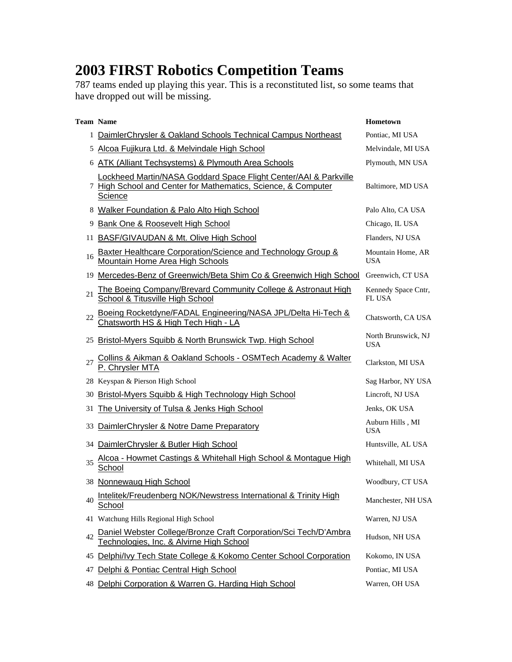## **2003 FIRST Robotics Competition Teams**

787 teams ended up playing this year. This is a reconstituted list, so some teams that have dropped out will be missing.

|    | <b>Team Name</b>                                                                                                                             | Hometown                             |
|----|----------------------------------------------------------------------------------------------------------------------------------------------|--------------------------------------|
|    | 1 DaimlerChrysler & Oakland Schools Technical Campus Northeast                                                                               | Pontiac, MI USA                      |
| 5  | Alcoa Fujikura Ltd. & Melvindale High School                                                                                                 | Melvindale, MI USA                   |
|    | 6 ATK (Alliant Techsystems) & Plymouth Area Schools                                                                                          | Plymouth, MN USA                     |
|    | Lockheed Martin/NASA Goddard Space Flight Center/AAI & Parkville<br>7 High School and Center for Mathematics, Science, & Computer<br>Science | Baltimore, MD USA                    |
|    | 8 Walker Foundation & Palo Alto High School                                                                                                  | Palo Alto, CA USA                    |
| 9  | <b>Bank One &amp; Roosevelt High School</b>                                                                                                  | Chicago, IL USA                      |
| 11 | <b>BASF/GIVAUDAN &amp; Mt. Olive High School</b>                                                                                             | Flanders, NJ USA                     |
| 16 | <b>Baxter Healthcare Corporation/Science and Technology Group &amp;</b><br>Mountain Home Area High Schools                                   | Mountain Home, AR<br><b>USA</b>      |
| 19 | Mercedes-Benz of Greenwich/Beta Shim Co & Greenwich High School                                                                              | Greenwich, CT USA                    |
| 21 | The Boeing Company/Brevard Community College & Astronaut High<br><b>School &amp; Titusville High School</b>                                  | Kennedy Space Cntr,<br><b>FL USA</b> |
| 22 | Boeing Rocketdyne/FADAL Engineering/NASA JPL/Delta Hi-Tech &<br>Chatsworth HS & High Tech High - LA                                          | Chatsworth, CA USA                   |
| 25 | Bristol-Myers Squibb & North Brunswick Twp. High School                                                                                      | North Brunswick, NJ<br><b>USA</b>    |
| 27 | Collins & Aikman & Oakland Schools - OSMTech Academy & Walter<br>P. Chrysler MTA                                                             | Clarkston, MI USA                    |
| 28 | Keyspan & Pierson High School                                                                                                                | Sag Harbor, NY USA                   |
| 30 | <b>Bristol-Myers Squibb &amp; High Technology High School</b>                                                                                | Lincroft, NJ USA                     |
| 31 | The University of Tulsa & Jenks High School                                                                                                  | Jenks, OK USA                        |
| 33 | DaimlerChrysler & Notre Dame Preparatory                                                                                                     | Auburn Hills, MI<br><b>USA</b>       |
| 34 | DaimlerChrysler & Butler High School                                                                                                         | Huntsville, AL USA                   |
| 35 | Alcoa - Howmet Castings & Whitehall High School & Montague High<br>School                                                                    | Whitehall, MI USA                    |
|    | 38 Nonnewaug High School                                                                                                                     | Woodbury, CT USA                     |
| 40 | Intelitek/Freudenberg NOK/Newstress International & Trinity High<br>School                                                                   | Manchester, NH USA                   |
| 41 | Watchung Hills Regional High School                                                                                                          | Warren, NJ USA                       |
| 42 | Daniel Webster College/Bronze Craft Corporation/Sci Tech/D'Ambra<br>Technologies, Inc. & Alvirne High School                                 | Hudson, NH USA                       |
| 45 | Delphi/Ivy Tech State College & Kokomo Center School Corporation                                                                             | Kokomo, IN USA                       |
| 47 | Delphi & Pontiac Central High School                                                                                                         | Pontiac, MI USA                      |
| 48 | Delphi Corporation & Warren G. Harding High School                                                                                           | Warren, OH USA                       |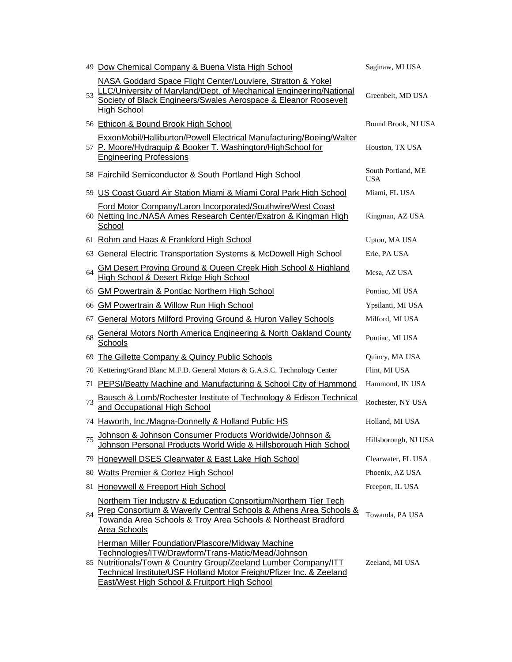|    | 49 Dow Chemical Company & Buena Vista High School                                                                                                                                                                                                                                                        | Saginaw, MI USA                  |
|----|----------------------------------------------------------------------------------------------------------------------------------------------------------------------------------------------------------------------------------------------------------------------------------------------------------|----------------------------------|
| 53 | NASA Goddard Space Flight Center/Louviere, Stratton & Yokel<br>LLC/University of Maryland/Dept. of Mechanical Engineering/National<br>Society of Black Engineers/Swales Aerospace & Eleanor Roosevelt<br><b>High School</b>                                                                              | Greenbelt, MD USA                |
|    | 56 Ethicon & Bound Brook High School                                                                                                                                                                                                                                                                     | Bound Brook, NJ USA              |
|    | ExxonMobil/Halliburton/Powell Electrical Manufacturing/Boeing/Walter<br>57 P. Moore/Hydraquip & Booker T. Washington/HighSchool for<br><b>Engineering Professions</b>                                                                                                                                    | Houston, TX USA                  |
|    | 58 Fairchild Semiconductor & South Portland High School                                                                                                                                                                                                                                                  | South Portland, ME<br><b>USA</b> |
|    | 59 US Coast Guard Air Station Miami & Miami Coral Park High School                                                                                                                                                                                                                                       | Miami, FL USA                    |
|    | Ford Motor Company/Laron Incorporated/Southwire/West Coast<br>60 Netting Inc./NASA Ames Research Center/Exatron & Kingman High<br>School                                                                                                                                                                 | Kingman, AZ USA                  |
|    | 61 Rohm and Haas & Frankford High School                                                                                                                                                                                                                                                                 | Upton, MA USA                    |
| 63 | <b>General Electric Transportation Systems &amp; McDowell High School</b>                                                                                                                                                                                                                                | Erie, PA USA                     |
| 64 | <b>GM Desert Proving Ground &amp; Queen Creek High School &amp; Highland</b><br>High School & Desert Ridge High School                                                                                                                                                                                   | Mesa, AZ USA                     |
| 65 | <b>GM Powertrain &amp; Pontiac Northern High School</b>                                                                                                                                                                                                                                                  | Pontiac, MI USA                  |
|    | 66 GM Powertrain & Willow Run High School                                                                                                                                                                                                                                                                | Ypsilanti, MI USA                |
| 67 | <b>General Motors Milford Proving Ground &amp; Huron Valley Schools</b>                                                                                                                                                                                                                                  | Milford, MI USA                  |
| 68 | General Motors North America Engineering & North Oakland County<br>Schools                                                                                                                                                                                                                               | Pontiac, MI USA                  |
|    | 69 The Gillette Company & Quincy Public Schools                                                                                                                                                                                                                                                          | Quincy, MA USA                   |
|    | 70 Kettering/Grand Blanc M.F.D. General Motors & G.A.S.C. Technology Center                                                                                                                                                                                                                              | Flint, MI USA                    |
|    | 71 PEPSI/Beatty Machine and Manufacturing & School City of Hammond                                                                                                                                                                                                                                       | Hammond, IN USA                  |
| 73 | Bausch & Lomb/Rochester Institute of Technology & Edison Technical<br>and Occupational High School                                                                                                                                                                                                       | Rochester, NY USA                |
|    | 74 Haworth, Inc./Magna-Donnelly & Holland Public HS                                                                                                                                                                                                                                                      | Holland, MI USA                  |
| 75 | Johnson & Johnson Consumer Products Worldwide/Johnson &<br>Johnson Personal Products World Wide & Hillsborough High School                                                                                                                                                                               | Hillsborough, NJ USA             |
|    | 79 Honeywell DSES Clearwater & East Lake High School                                                                                                                                                                                                                                                     | Clearwater, FL USA               |
|    | 80 Watts Premier & Cortez High School                                                                                                                                                                                                                                                                    | Phoenix, AZ USA                  |
|    | 81 Honeywell & Freeport High School                                                                                                                                                                                                                                                                      | Freeport, IL USA                 |
| 84 | Northern Tier Industry & Education Consortium/Northern Tier Tech<br>Prep Consortium & Waverly Central Schools & Athens Area Schools &<br>Towanda Area Schools & Troy Area Schools & Northeast Bradford<br><b>Area Schools</b>                                                                            | Towanda, PA USA                  |
|    | <b>Herman Miller Foundation/Plascore/Midway Machine</b><br>Technologies/ITW/Drawform/Trans-Matic/Mead/Johnson<br>85 Nutritionals/Town & Country Group/Zeeland Lumber Company/ITT<br>Technical Institute/USF Holland Motor Freight/Pfizer Inc. & Zeeland<br>East/West High School & Fruitport High School | Zeeland, MI USA                  |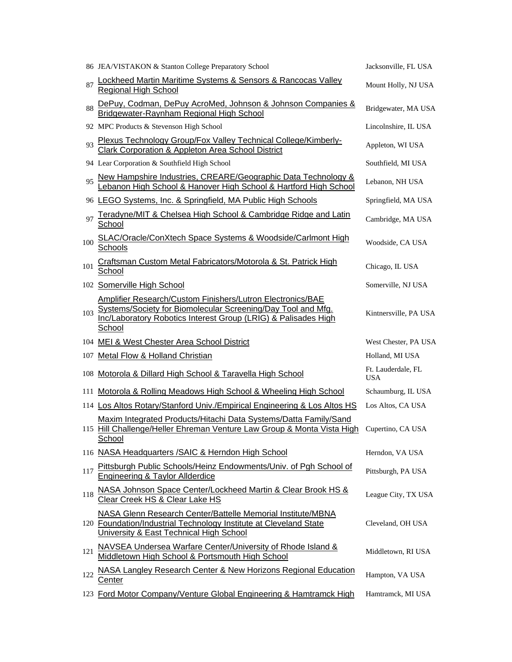|     | 86 JEA/VISTAKON & Stanton College Preparatory School                                                                                                                                         | Jacksonville, FL USA             |
|-----|----------------------------------------------------------------------------------------------------------------------------------------------------------------------------------------------|----------------------------------|
| 87  | <b>Lockheed Martin Maritime Systems &amp; Sensors &amp; Rancocas Valley</b><br><b>Regional High School</b>                                                                                   | Mount Holly, NJ USA              |
| 88  | DePuy, Codman, DePuy AcroMed, Johnson & Johnson Companies &<br>Bridgewater-Raynham Regional High School                                                                                      | Bridgewater, MA USA              |
|     | 92 MPC Products & Stevenson High School                                                                                                                                                      | Lincolnshire, IL USA             |
| 93  | Plexus Technology Group/Fox Valley Technical College/Kimberly-<br>Clark Corporation & Appleton Area School District                                                                          | Appleton, WI USA                 |
|     | 94 Lear Corporation & Southfield High School                                                                                                                                                 | Southfield, MI USA               |
| 95  | New Hampshire Industries, CREARE/Geographic Data Technology & Lebanon High School & Hanover High School & Hartford High School                                                               | Lebanon, NH USA                  |
|     | 96 LEGO Systems, Inc. & Springfield, MA Public High Schools                                                                                                                                  | Springfield, MA USA              |
| 97  | Teradyne/MIT & Chelsea High School & Cambridge Ridge and Latin<br>School                                                                                                                     | Cambridge, MA USA                |
| 100 | SLAC/Oracle/ConXtech Space Systems & Woodside/Carlmont High<br>Schools                                                                                                                       | Woodside, CA USA                 |
| 101 | Craftsman Custom Metal Fabricators/Motorola & St. Patrick High<br>School                                                                                                                     | Chicago, IL USA                  |
|     | 102 Somerville High School                                                                                                                                                                   | Somerville, NJ USA               |
| 103 | Amplifier Research/Custom Finishers/Lutron Electronics/BAE<br>Systems/Society for Biomolecular Screening/Day Tool and Mfg.<br>Inc/Laboratory Robotics Interest Group (LRIG) & Palisades High | Kintnersville, PA USA            |
|     | School                                                                                                                                                                                       |                                  |
|     | 104 MEI & West Chester Area School District                                                                                                                                                  | West Chester, PA USA             |
| 107 | <b>Metal Flow &amp; Holland Christian</b>                                                                                                                                                    | Holland, MI USA                  |
|     | 108 Motorola & Dillard High School & Taravella High School                                                                                                                                   | Ft. Lauderdale, FL<br><b>USA</b> |
| 111 | Motorola & Rolling Meadows High School & Wheeling High School                                                                                                                                | Schaumburg, IL USA               |
|     | 114 Los Altos Rotary/Stanford Univ./Empirical Engineering & Los Altos HS                                                                                                                     | Los Altos, CA USA                |
|     | Maxim Integrated Products/Hitachi Data Systems/Datta Family/Sand<br>115 Hill Challenge/Heller Ehreman Venture Law Group & Monta Vista High<br>School                                         | Cupertino, CA USA                |
|     | 116 NASA Headquarters / SAIC & Herndon High School                                                                                                                                           | Herndon, VA USA                  |
| 117 | Pittsburgh Public Schools/Heinz Endowments/Univ. of Pgh School of<br>Engineering & Taylor Allderdice                                                                                         | Pittsburgh, PA USA               |
| 118 | NASA Johnson Space Center/Lockheed Martin & Clear Brook HS &<br>Clear Creek HS & Clear Lake HS                                                                                               | League City, TX USA              |
|     | NASA Glenn Research Center/Battelle Memorial Institute/MBNA<br>120 Foundation/Industrial Technology Institute at Cleveland State<br>University & East Technical High School                  | Cleveland, OH USA                |
| 121 | NAVSEA Undersea Warfare Center/University of Rhode Island &<br>Middletown High School & Portsmouth High School                                                                               | Middletown, RI USA               |
| 122 | NASA Langley Research Center & New Horizons Regional Education<br><u>Center</u>                                                                                                              | Hampton, VA USA                  |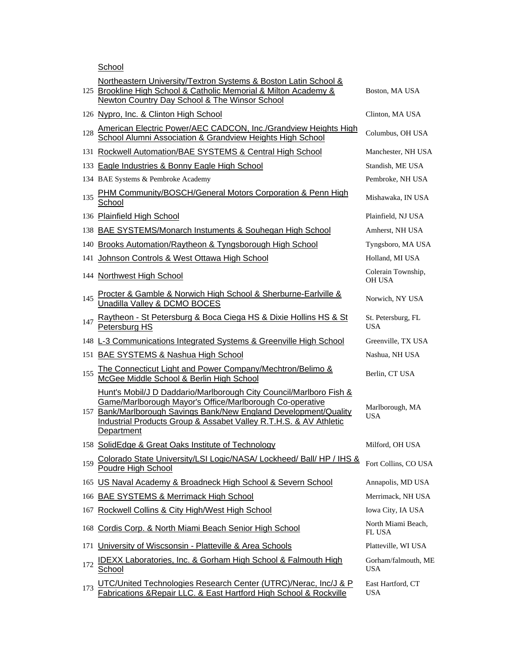**School** 

|     | Northeastern University/Textron Systems & Boston Latin School &<br>125 Brookline High School & Catholic Memorial & Milton Academy &<br>Newton Country Day School & The Winsor School                                                                                                   | Boston, MA USA                    |
|-----|----------------------------------------------------------------------------------------------------------------------------------------------------------------------------------------------------------------------------------------------------------------------------------------|-----------------------------------|
|     | 126 Nypro, Inc. & Clinton High School                                                                                                                                                                                                                                                  | Clinton, MA USA                   |
| 128 | American Electric Power/AEC CADCON, Inc./Grandview Heights High<br>School Alumni Association & Grandview Heights High School                                                                                                                                                           | Columbus, OH USA                  |
|     | 131 Rockwell Automation/BAE SYSTEMS & Central High School                                                                                                                                                                                                                              | Manchester, NH USA                |
|     | 133 Eagle Industries & Bonny Eagle High School                                                                                                                                                                                                                                         | Standish, ME USA                  |
|     | 134 BAE Systems & Pembroke Academy                                                                                                                                                                                                                                                     | Pembroke, NH USA                  |
| 135 | PHM Community/BOSCH/General Motors Corporation & Penn High<br>School                                                                                                                                                                                                                   | Mishawaka, IN USA                 |
|     | 136 Plainfield High School                                                                                                                                                                                                                                                             | Plainfield, NJ USA                |
|     | 138 BAE SYSTEMS/Monarch Instuments & Souhegan High School                                                                                                                                                                                                                              | Amherst, NH USA                   |
|     | 140 Brooks Automation/Raytheon & Tyngsborough High School                                                                                                                                                                                                                              | Tyngsboro, MA USA                 |
|     | 141 Johnson Controls & West Ottawa High School                                                                                                                                                                                                                                         | Holland, MI USA                   |
|     | 144 Northwest High School                                                                                                                                                                                                                                                              | Colerain Township,<br>OH USA      |
| 145 | Procter & Gamble & Norwich High School & Sherburne-Earlville &<br>Unadilla Valley & DCMO BOCES                                                                                                                                                                                         | Norwich, NY USA                   |
| 147 | Raytheon - St Petersburg & Boca Ciega HS & Dixie Hollins HS & St<br>Petersburg HS                                                                                                                                                                                                      | St. Petersburg, FL<br><b>USA</b>  |
|     | 148 L-3 Communications Integrated Systems & Greenville High School                                                                                                                                                                                                                     | Greenville, TX USA                |
|     | 151 BAE SYSTEMS & Nashua High School                                                                                                                                                                                                                                                   | Nashua, NH USA                    |
|     |                                                                                                                                                                                                                                                                                        |                                   |
| 155 | The Connecticut Light and Power Company/Mechtron/Belimo &<br>McGee Middle School & Berlin High School                                                                                                                                                                                  | Berlin, CT USA                    |
|     | Hunt's Mobil/J D Daddario/Marlborough City Council/Marlboro Fish &<br>Game/Marlborough Mayor's Office/Marlborough Co-operative<br>157 Bank/Marlborough Savings Bank/New England Development/Quality<br>Industrial Products Group & Assabet Valley R.T.H.S. & AV Athletic<br>Department | Marlborough, MA<br><b>USA</b>     |
|     | 158 SolidEdge & Great Oaks Institute of Technology                                                                                                                                                                                                                                     | Milford, OH USA                   |
| 159 | Colorado State University/LSI Logic/NASA/ Lockheed/ Ball/ HP / IHS &<br>Poudre High School                                                                                                                                                                                             | Fort Collins, CO USA              |
|     | 165 US Naval Academy & Broadneck High School & Severn School                                                                                                                                                                                                                           | Annapolis, MD USA                 |
| 166 | <b>BAE SYSTEMS &amp; Merrimack High School</b>                                                                                                                                                                                                                                         | Merrimack, NH USA                 |
| 167 | Rockwell Collins & City High/West High School                                                                                                                                                                                                                                          | Iowa City, IA USA                 |
| 168 | Cordis Corp. & North Miami Beach Senior High School                                                                                                                                                                                                                                    | North Miami Beach,<br>FL USA      |
| 171 | University of Wiscsonsin - Platteville & Area Schools                                                                                                                                                                                                                                  | Platteville, WI USA               |
| 172 | <b>IDEXX Laboratories, Inc. &amp; Gorham High School &amp; Falmouth High</b><br>School                                                                                                                                                                                                 | Gorham/falmouth, ME<br><b>USA</b> |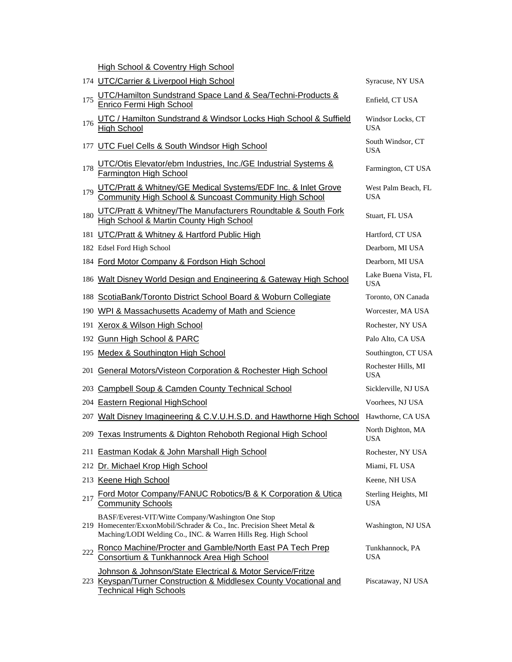High School & Coventry High School

|     | 174 UTC/Carrier & Liverpool High School                                                                                                                                                        | Syracuse, NY USA                   |
|-----|------------------------------------------------------------------------------------------------------------------------------------------------------------------------------------------------|------------------------------------|
| 175 | UTC/Hamilton Sundstrand Space Land & Sea/Techni-Products &<br>Enrico Fermi High School                                                                                                         | Enfield, CT USA                    |
| 176 | UTC / Hamilton Sundstrand & Windsor Locks High School & Suffield<br><b>High School</b>                                                                                                         | Windsor Locks, CT<br><b>USA</b>    |
| 177 | UTC Fuel Cells & South Windsor High School                                                                                                                                                     | South Windsor, CT<br><b>USA</b>    |
| 178 | UTC/Otis Elevator/ebm Industries, Inc./GE Industrial Systems &<br>Farmington High School                                                                                                       | Farmington, CT USA                 |
| 179 | UTC/Pratt & Whitney/GE Medical Systems/EDF Inc. & Inlet Grove<br>Community High School & Suncoast Community High School                                                                        | West Palm Beach, FL<br><b>USA</b>  |
| 180 | UTC/Pratt & Whitney/The Manufacturers Roundtable & South Fork<br><b>High School &amp; Martin County High School</b>                                                                            | Stuart, FL USA                     |
|     | 181 UTC/Pratt & Whitney & Hartford Public High                                                                                                                                                 | Hartford, CT USA                   |
|     | 182 Edsel Ford High School                                                                                                                                                                     | Dearborn, MI USA                   |
|     | 184 Ford Motor Company & Fordson High School                                                                                                                                                   | Dearborn, MI USA                   |
|     | 186 Walt Disney World Design and Engineering & Gateway High School                                                                                                                             | Lake Buena Vista, FL<br><b>USA</b> |
| 188 | ScotiaBank/Toronto District School Board & Woburn Collegiate                                                                                                                                   | Toronto, ON Canada                 |
| 190 | WPI & Massachusetts Academy of Math and Science                                                                                                                                                | Worcester, MA USA                  |
| 191 | Xerox & Wilson High School                                                                                                                                                                     | Rochester, NY USA                  |
| 192 | <b>Gunn High School &amp; PARC</b>                                                                                                                                                             | Palo Alto, CA USA                  |
|     | 195 Medex & Southington High School                                                                                                                                                            | Southington, CT USA                |
| 201 | <b>General Motors/Visteon Corporation &amp; Rochester High School</b>                                                                                                                          | Rochester Hills, MI<br><b>USA</b>  |
| 203 | <b>Campbell Soup &amp; Camden County Technical School</b>                                                                                                                                      | Sicklerville, NJ USA               |
| 204 | Eastern Regional HighSchool                                                                                                                                                                    | Voorhees, NJ USA                   |
| 207 | Walt Disney Imagineering & C.V.U.H.S.D. and Hawthorne High School                                                                                                                              | Hawthorne, CA USA                  |
| 209 | Texas Instruments & Dighton Rehoboth Regional High School                                                                                                                                      | North Dighton, MA<br><b>USA</b>    |
|     | 211 Eastman Kodak & John Marshall High School                                                                                                                                                  | Rochester, NY USA                  |
|     | 212 Dr. Michael Krop High School                                                                                                                                                               | Miami, FL USA                      |
|     | 213 Keene High School                                                                                                                                                                          | Keene, NH USA                      |
| 217 | Ford Motor Company/FANUC Robotics/B & K Corporation & Utica<br><b>Community Schools</b>                                                                                                        | Sterling Heights, MI<br><b>USA</b> |
|     | BASF/Everest-VIT/Witte Company/Washington One Stop<br>219 Homecenter/ExxonMobil/Schrader & Co., Inc. Precision Sheet Metal &<br>Maching/LODI Welding Co., INC. & Warren Hills Reg. High School | Washington, NJ USA                 |
| 222 | Ronco Machine/Procter and Gamble/North East PA Tech Prep<br>Consortium & Tunkhannock Area High School                                                                                          | Tunkhannock, PA<br><b>USA</b>      |
|     | Johnson & Johnson/State Electrical & Motor Service/Fritze<br>223 Keyspan/Turner Construction & Middlesex County Vocational and<br><b>Technical High Schools</b>                                | Piscataway, NJ USA                 |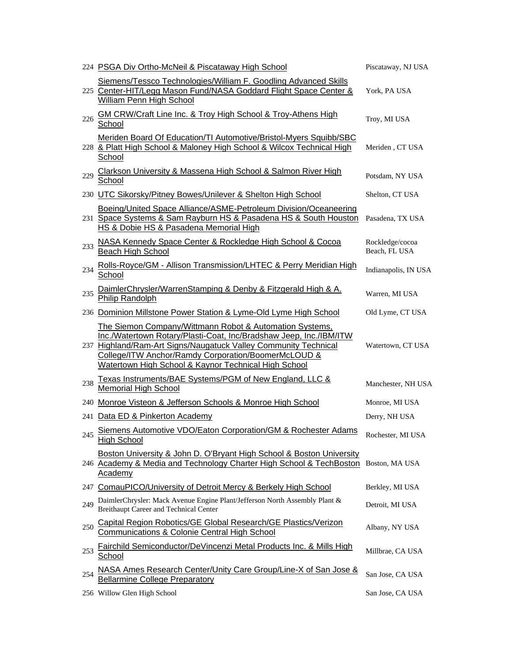|     | 224 PSGA Div Ortho-McNeil & Piscataway High School                                                                                                                                                                                                                                                              | Piscataway, NJ USA               |
|-----|-----------------------------------------------------------------------------------------------------------------------------------------------------------------------------------------------------------------------------------------------------------------------------------------------------------------|----------------------------------|
|     | Siemens/Tessco Technologies/William F. Goodling Advanced Skills<br>225 Center-HIT/Legg Mason Fund/NASA Goddard Flight Space Center &<br>William Penn High School                                                                                                                                                | York, PA USA                     |
| 226 | GM CRW/Craft Line Inc. & Troy High School & Troy-Athens High<br>School                                                                                                                                                                                                                                          | Troy, MI USA                     |
|     | Meriden Board Of Education/TI Automotive/Bristol-Myers Squibb/SBC<br>228 & Platt High School & Maloney High School & Wilcox Technical High<br>School                                                                                                                                                            | Meriden, CT USA                  |
| 229 | Clarkson University & Massena High School & Salmon River High<br>School                                                                                                                                                                                                                                         | Potsdam, NY USA                  |
|     | 230 UTC Sikorsky/Pitney Bowes/Unilever & Shelton High School                                                                                                                                                                                                                                                    | Shelton, CT USA                  |
|     | Boeing/United Space Alliance/ASME-Petroleum Division/Oceaneering<br>231 Space Systems & Sam Rayburn HS & Pasadena HS & South Houston<br>HS & Dobie HS & Pasadena Memorial High                                                                                                                                  | Pasadena, TX USA                 |
| 233 | NASA Kennedy Space Center & Rockledge High School & Cocoa<br>Beach High School                                                                                                                                                                                                                                  | Rockledge/cocoa<br>Beach, FL USA |
| 234 | Rolls-Royce/GM - Allison Transmission/LHTEC & Perry Meridian High<br>School                                                                                                                                                                                                                                     | Indianapolis, IN USA             |
| 235 | DaimlerChrysler/WarrenStamping & Denby & Fitzgerald High & A.<br><b>Philip Randolph</b>                                                                                                                                                                                                                         | Warren, MI USA                   |
|     | 236 Dominion Millstone Power Station & Lyme-Old Lyme High School                                                                                                                                                                                                                                                | Old Lyme, CT USA                 |
|     | The Siemon Company/Wittmann Robot & Automation Systems,<br>Inc./Watertown Rotary/Plasti-Coat, Inc/Bradshaw Jeep, Inc./IBM/ITW<br>237 Highland/Ram-Art Signs/Naugatuck Valley Community Technical<br>College/ITW Anchor/Ramdy Corporation/BoomerMcLOUD &<br>Watertown High School & Kaynor Technical High School | Watertown, CT USA                |
| 238 | Texas Instruments/BAE Systems/PGM of New England, LLC &<br><b>Memorial High School</b>                                                                                                                                                                                                                          | Manchester, NH USA               |
|     | 240 Monroe Visteon & Jefferson Schools & Monroe High School                                                                                                                                                                                                                                                     | Monroe, MI USA                   |
|     | 241 Data ED & Pinkerton Academy                                                                                                                                                                                                                                                                                 | Derry, NH USA                    |
|     | 245 Siemens Automotive VDO/Eaton Corporation/GM & Rochester Adams<br><b>High School</b>                                                                                                                                                                                                                         | Rochester, MI USA                |
|     | Boston University & John D. O'Bryant High School & Boston University<br>246 Academy & Media and Technology Charter High School & TechBoston<br>Academy                                                                                                                                                          | Boston, MA USA                   |
|     | 247 ComauPICO/University of Detroit Mercy & Berkely High School                                                                                                                                                                                                                                                 | Berkley, MI USA                  |
| 249 | DaimlerChrysler: Mack Avenue Engine Plant/Jefferson North Assembly Plant &<br>Breithaupt Career and Technical Center                                                                                                                                                                                            | Detroit, MI USA                  |
| 250 | Capital Region Robotics/GE Global Research/GE Plastics/Verizon<br>Communications & Colonie Central High School                                                                                                                                                                                                  | Albany, NY USA                   |
| 253 | Fairchild Semiconductor/DeVincenzi Metal Products Inc. & Mills High<br><u>School</u>                                                                                                                                                                                                                            | Millbrae, CA USA                 |
| 254 | NASA Ames Research Center/Unity Care Group/Line-X of San Jose &<br><b>Bellarmine College Preparatory</b>                                                                                                                                                                                                        | San Jose, CA USA                 |
|     | 256 Willow Glen High School                                                                                                                                                                                                                                                                                     | San Jose, CA USA                 |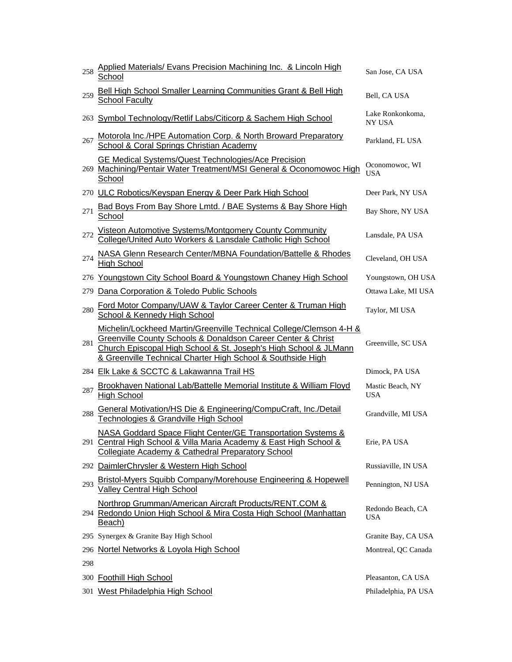| 258 | Applied Materials/ Evans Precision Machining Inc. & Lincoln High<br>School                                                                                                                                                                                             | San Jose, CA USA                  |
|-----|------------------------------------------------------------------------------------------------------------------------------------------------------------------------------------------------------------------------------------------------------------------------|-----------------------------------|
| 259 | Bell High School Smaller Learning Communities Grant & Bell High<br><b>School Faculty</b>                                                                                                                                                                               | Bell, CA USA                      |
|     | 263 Symbol Technology/Retlif Labs/Citicorp & Sachem High School                                                                                                                                                                                                        | Lake Ronkonkoma,<br><b>NY USA</b> |
| 267 | Motorola Inc./HPE Automation Corp. & North Broward Preparatory<br>School & Coral Springs Christian Academy                                                                                                                                                             | Parkland, FL USA                  |
|     | GE Medical Systems/Quest Technologies/Ace Precision<br>269 Machining/Pentair Water Treatment/MSI General & Oconomowoc High<br>School                                                                                                                                   | Oconomowoc, WI<br><b>USA</b>      |
|     | 270 ULC Robotics/Keyspan Energy & Deer Park High School                                                                                                                                                                                                                | Deer Park, NY USA                 |
| 271 | Bad Boys From Bay Shore Lmtd. / BAE Systems & Bay Shore High<br>School                                                                                                                                                                                                 | Bay Shore, NY USA                 |
| 272 | Visteon Automotive Systems/Montgomery County Community<br>College/United Auto Workers & Lansdale Catholic High School                                                                                                                                                  | Lansdale, PA USA                  |
| 274 | NASA Glenn Research Center/MBNA Foundation/Battelle & Rhodes<br><b>High School</b>                                                                                                                                                                                     | Cleveland, OH USA                 |
|     | 276 Youngstown City School Board & Youngstown Chaney High School                                                                                                                                                                                                       | Youngstown, OH USA                |
| 279 | Dana Corporation & Toledo Public Schools                                                                                                                                                                                                                               | Ottawa Lake, MI USA               |
| 280 | Ford Motor Company/UAW & Taylor Career Center & Truman High<br>School & Kennedy High School                                                                                                                                                                            | Taylor, MI USA                    |
| 281 | Michelin/Lockheed Martin/Greenville Technical College/Clemson 4-H &<br>Greenville County Schools & Donaldson Career Center & Christ<br>Church Episcopal High School & St. Joseph's High School & JLMann<br>& Greenville Technical Charter High School & Southside High | Greenville, SC USA                |
|     | 284 Elk Lake & SCCTC & Lakawanna Trail HS                                                                                                                                                                                                                              | Dimock, PA USA                    |
| 287 | Brookhaven National Lab/Battelle Memorial Institute & William Floyd<br><b>High School</b>                                                                                                                                                                              | Mastic Beach, NY<br><b>USA</b>    |
| 288 | General Motivation/HS Die & Engineering/CompuCraft, Inc./Detail<br>Technologies & Grandville High School                                                                                                                                                               | Grandville, MI USA                |
|     | NASA Goddard Space Flight Center/GE Transportation Systems &<br>291 Central High School & Villa Maria Academy & East High School &<br>Collegiate Academy & Cathedral Preparatory School                                                                                | Erie, PA USA                      |
|     | 292 DaimlerChrysler & Western High School                                                                                                                                                                                                                              | Russiaville, IN USA               |
| 293 | Bristol-Myers Squibb Company/Morehouse Engineering & Hopewell<br>Valley Central High School                                                                                                                                                                            | Pennington, NJ USA                |
|     | Northrop Grumman/American Aircraft Products/RENT.COM &<br>294 Redondo Union High School & Mira Costa High School (Manhattan<br>Beach)                                                                                                                                  | Redondo Beach, CA<br><b>USA</b>   |
|     | 295 Synergex & Granite Bay High School                                                                                                                                                                                                                                 | Granite Bay, CA USA               |
|     | 296 Nortel Networks & Loyola High School                                                                                                                                                                                                                               | Montreal, QC Canada               |
| 298 |                                                                                                                                                                                                                                                                        |                                   |
|     | 300 Foothill High School                                                                                                                                                                                                                                               | Pleasanton, CA USA                |
|     | 301 West Philadelphia High School                                                                                                                                                                                                                                      | Philadelphia, PA USA              |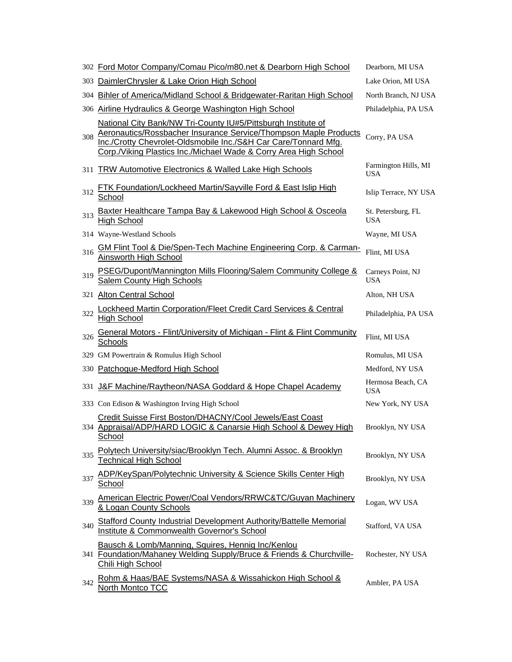|     | 302 Ford Motor Company/Comau Pico/m80.net & Dearborn High School                                                                                                                                                                                                         | Dearborn, MI USA                   |
|-----|--------------------------------------------------------------------------------------------------------------------------------------------------------------------------------------------------------------------------------------------------------------------------|------------------------------------|
| 303 | DaimlerChrysler & Lake Orion High School                                                                                                                                                                                                                                 | Lake Orion, MI USA                 |
| 304 | Bihler of America/Midland School & Bridgewater-Raritan High School                                                                                                                                                                                                       | North Branch, NJ USA               |
|     | 306 Airline Hydraulics & George Washington High School                                                                                                                                                                                                                   | Philadelphia, PA USA               |
| 308 | National City Bank/NW Tri-County IU#5/Pittsburgh Institute of<br>Aeronautics/Rossbacher Insurance Service/Thompson Maple Products<br>Inc./Crotty Chevrolet-Oldsmobile Inc./S&H Car Care/Tonnard Mfg.<br>Corp./Viking Plastics Inc./Michael Wade & Corry Area High School | Corry, PA USA                      |
| 311 | TRW Automotive Electronics & Walled Lake High Schools                                                                                                                                                                                                                    | Farmington Hills, MI<br><b>USA</b> |
| 312 | <b>FTK Foundation/Lockheed Martin/Sayville Ford &amp; East Islip High</b><br>School                                                                                                                                                                                      | Islip Terrace, NY USA              |
| 313 | Baxter Healthcare Tampa Bay & Lakewood High School & Osceola<br><b>High School</b>                                                                                                                                                                                       | St. Petersburg, FL<br><b>USA</b>   |
|     | 314 Wayne-Westland Schools                                                                                                                                                                                                                                               | Wayne, MI USA                      |
| 316 | GM Flint Tool & Die/Spen-Tech Machine Engineering Corp. & Carman-<br>Ainsworth High School                                                                                                                                                                               | Flint, MI USA                      |
| 319 | PSEG/Dupont/Mannington Mills Flooring/Salem Community College &<br>Salem County High Schools                                                                                                                                                                             | Carneys Point, NJ<br><b>USA</b>    |
|     | 321 Alton Central School                                                                                                                                                                                                                                                 | Alton, NH USA                      |
| 322 | <b>Lockheed Martin Corporation/Fleet Credit Card Services &amp; Central</b><br><b>High School</b>                                                                                                                                                                        | Philadelphia, PA USA               |
| 326 | General Motors - Flint/University of Michigan - Flint & Flint Community<br>Schools                                                                                                                                                                                       | Flint, MI USA                      |
|     | 329 GM Powertrain & Romulus High School                                                                                                                                                                                                                                  | Romulus, MI USA                    |
|     | 330 Patchogue-Medford High School                                                                                                                                                                                                                                        | Medford, NY USA                    |
| 331 | J&F Machine/Raytheon/NASA Goddard & Hope Chapel Academy                                                                                                                                                                                                                  | Hermosa Beach, CA<br><b>USA</b>    |
|     | 333 Con Edison & Washington Irving High School                                                                                                                                                                                                                           | New York, NY USA                   |
|     | Credit Suisse First Boston/DHACNY/Cool Jewels/East Coast<br>334 Appraisal/ADP/HARD LOGIC & Canarsie High School & Dewey High<br>School                                                                                                                                   | Brooklyn, NY USA                   |
| 335 | Polytech University/siac/Brooklyn Tech. Alumni Assoc. & Brooklyn<br><b>Technical High School</b>                                                                                                                                                                         | Brooklyn, NY USA                   |
| 337 | ADP/KeySpan/Polytechnic University & Science Skills Center High<br><u>School</u>                                                                                                                                                                                         | Brooklyn, NY USA                   |
| 339 | <b>American Electric Power/Coal Vendors/RRWC&amp;TC/Guyan Machinery</b><br>& Logan County Schools                                                                                                                                                                        | Logan, WV USA                      |
| 340 | <b>Stafford County Industrial Development Authority/Battelle Memorial</b><br>Institute & Commonwealth Governor's School                                                                                                                                                  | Stafford, VA USA                   |
|     | Bausch & Lomb/Manning, Squires, Hennig Inc/Kenlou<br>341 Foundation/Mahaney Welding Supply/Bruce & Friends & Churchville-<br>Chili High School                                                                                                                           | Rochester, NY USA                  |
| 342 | Rohm & Haas/BAE Systems/NASA & Wissahickon High School &<br><b>North Montco TCC</b>                                                                                                                                                                                      | Ambler, PA USA                     |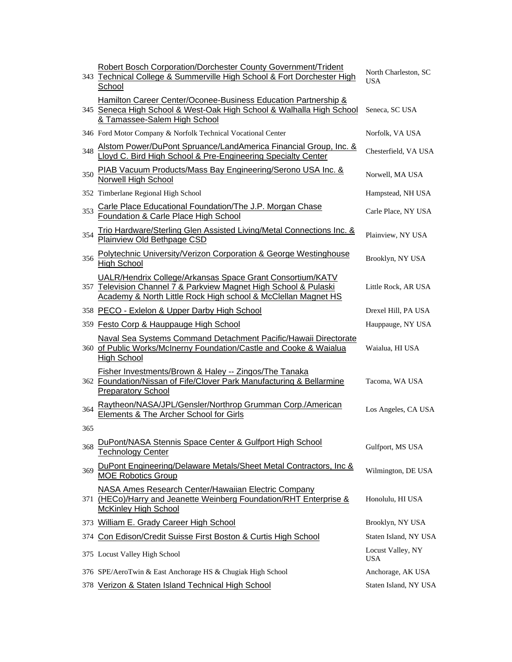|     | <b>Robert Bosch Corporation/Dorchester County Government/Trident</b><br>343 Technical College & Summerville High School & Fort Dorchester High<br>School                                       | North Charleston, SC<br>USA |
|-----|------------------------------------------------------------------------------------------------------------------------------------------------------------------------------------------------|-----------------------------|
|     | Hamilton Career Center/Oconee-Business Education Partnership &<br>345 Seneca High School & West-Oak High School & Walhalla High School<br>& Tamassee-Salem High School                         | Seneca, SC USA              |
|     | 346 Ford Motor Company & Norfolk Technical Vocational Center                                                                                                                                   | Norfolk, VA USA             |
| 348 | Alstom Power/DuPont Spruance/LandAmerica Financial Group, Inc. &<br>Lloyd C. Bird High School & Pre-Engineering Specialty Center                                                               | Chesterfield, VA USA        |
| 350 | PIAB Vacuum Products/Mass Bay Engineering/Serono USA Inc. &<br><b>Norwell High School</b>                                                                                                      | Norwell, MA USA             |
|     | 352 Timberlane Regional High School                                                                                                                                                            | Hampstead, NH USA           |
| 353 | Carle Place Educational Foundation/The J.P. Morgan Chase<br>Foundation & Carle Place High School                                                                                               | Carle Place, NY USA         |
| 354 | Trio Hardware/Sterling Glen Assisted Living/Metal Connections Inc. &<br>Plainview Old Bethpage CSD                                                                                             | Plainview, NY USA           |
| 356 | Polytechnic University/Verizon Corporation & George Westinghouse<br><b>High School</b>                                                                                                         | Brooklyn, NY USA            |
|     | UALR/Hendrix College/Arkansas Space Grant Consortium/KATV<br>357 Television Channel 7 & Parkview Magnet High School & Pulaski<br>Academy & North Little Rock High school & McClellan Magnet HS | Little Rock, AR USA         |
|     | 358 PECO - Exlelon & Upper Darby High School                                                                                                                                                   | Drexel Hill, PA USA         |
|     | 359 Festo Corp & Hauppauge High School                                                                                                                                                         | Hauppauge, NY USA           |
|     | Naval Sea Systems Command Detachment Pacific/Hawaii Directorate<br>360 of Public Works/McInerny Foundation/Castle and Cooke & Waialua<br><b>High School</b>                                    | Waialua, HI USA             |
|     | Fisher Investments/Brown & Haley -- Zingos/The Tanaka<br>362 Foundation/Nissan of Fife/Clover Park Manufacturing & Bellarmine<br><b>Preparatory School</b>                                     | Tacoma, WA USA              |
| 364 | Raytheon/NASA/JPL/Gensler/Northrop Grumman Corp./American<br>Elements & The Archer School for Girls                                                                                            | Los Angeles, CA USA         |
| 365 |                                                                                                                                                                                                |                             |
| 368 | DuPont/NASA Stennis Space Center & Gulfport High School<br><b>Technology Center</b>                                                                                                            | Gulfport, MS USA            |
| 369 | DuPont Engineering/Delaware Metals/Sheet Metal Contractors, Inc &<br><b>MOE Robotics Group</b>                                                                                                 | Wilmington, DE USA          |
|     | <b>NASA Ames Research Center/Hawaiian Electric Company</b><br>371 (HECo)/Harry and Jeanette Weinberg Foundation/RHT Enterprise &<br><b>McKinley High School</b>                                | Honolulu, HI USA            |
|     | 373 William E. Grady Career High School                                                                                                                                                        | Brooklyn, NY USA            |
|     | 374 Con Edison/Credit Suisse First Boston & Curtis High School                                                                                                                                 | Staten Island, NY USA       |
|     | 375 Locust Valley High School                                                                                                                                                                  | Locust Valley, NY<br>USA    |
|     | 376 SPE/AeroTwin & East Anchorage HS & Chugiak High School                                                                                                                                     | Anchorage, AK USA           |
|     | 378 Verizon & Staten Island Technical High School                                                                                                                                              | Staten Island, NY USA       |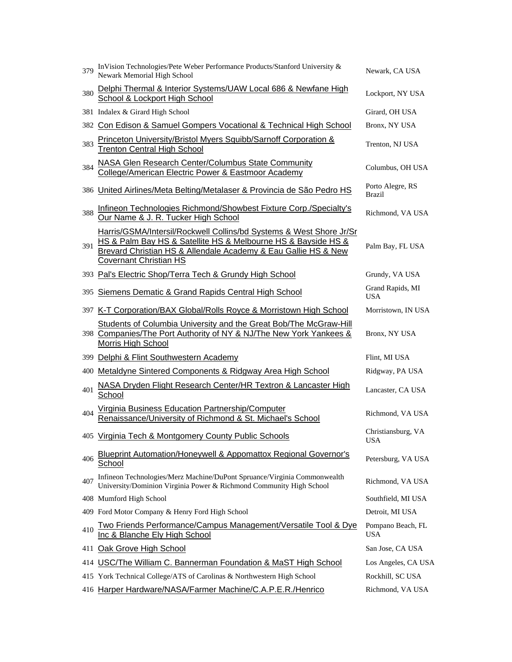| 379 | InVision Technologies/Pete Weber Performance Products/Stanford University &<br>Newark Memorial High School                                                                                                                              | Newark, CA USA                    |
|-----|-----------------------------------------------------------------------------------------------------------------------------------------------------------------------------------------------------------------------------------------|-----------------------------------|
| 380 | Delphi Thermal & Interior Systems/UAW Local 686 & Newfane High<br>School & Lockport High School                                                                                                                                         | Lockport, NY USA                  |
|     | 381 Indalex & Girard High School                                                                                                                                                                                                        | Girard, OH USA                    |
|     | 382 Con Edison & Samuel Gompers Vocational & Technical High School                                                                                                                                                                      | Bronx, NY USA                     |
| 383 | Princeton University/Bristol Myers Squibb/Sarnoff Corporation &<br><b>Trenton Central High School</b>                                                                                                                                   | Trenton, NJ USA                   |
| 384 | <b>NASA Glen Research Center/Columbus State Community</b><br>College/American Electric Power & Eastmoor Academy                                                                                                                         | Columbus, OH USA                  |
|     | 386 United Airlines/Meta Belting/Metalaser & Provincia de São Pedro HS                                                                                                                                                                  | Porto Alegre, RS<br><b>Brazil</b> |
| 388 | Infineon Technologies Richmond/Showbest Fixture Corp./Specialty's<br>Our Name & J. R. Tucker High School                                                                                                                                | Richmond, VA USA                  |
| 391 | Harris/GSMA/Intersil/Rockwell Collins/bd Systems & West Shore Jr/Sr<br>HS & Palm Bay HS & Satellite HS & Melbourne HS & Bayside HS &<br>Brevard Christian HS & Allendale Academy & Eau Gallie HS & New<br><b>Covernant Christian HS</b> | Palm Bay, FL USA                  |
|     | 393 Pal's Electric Shop/Terra Tech & Grundy High School                                                                                                                                                                                 | Grundy, VA USA                    |
| 395 | Siemens Dematic & Grand Rapids Central High School                                                                                                                                                                                      | Grand Rapids, MI<br><b>USA</b>    |
|     | 397 K-T Corporation/BAX Global/Rolls Royce & Morristown High School                                                                                                                                                                     | Morristown, IN USA                |
|     | Students of Columbia University and the Great Bob/The McGraw-Hill<br>398 Companies/The Port Authority of NY & NJ/The New York Yankees &<br>Morris High School                                                                           | Bronx, NY USA                     |
|     | 399 Delphi & Flint Southwestern Academy                                                                                                                                                                                                 | Flint, MI USA                     |
|     | 400 Metaldyne Sintered Components & Ridgway Area High School                                                                                                                                                                            | Ridgway, PA USA                   |
| 401 | NASA Dryden Flight Research Center/HR Textron & Lancaster High<br>School                                                                                                                                                                | Lancaster, CA USA                 |
| 404 | Virginia Business Education Partnership/Computer<br>Renaissance/University of Richmond & St. Michael's School                                                                                                                           | Richmond, VA USA                  |
|     | 405 Virginia Tech & Montgomery County Public Schools                                                                                                                                                                                    | Christiansburg, VA<br><b>USA</b>  |
| 406 | Blueprint Automation/Honeywell & Appomattox Regional Governor's<br><b>School</b>                                                                                                                                                        | Petersburg, VA USA                |
| 407 | Infineon Technologies/Merz Machine/DuPont Spruance/Virginia Commonwealth<br>University/Dominion Virginia Power & Richmond Community High School                                                                                         | Richmond, VA USA                  |
|     | 408 Mumford High School                                                                                                                                                                                                                 | Southfield, MI USA                |
|     | 409 Ford Motor Company & Henry Ford High School                                                                                                                                                                                         | Detroit, MI USA                   |
| 410 | <u>Two Friends Performance/Campus Management/Versatile Tool &amp; Dye</u><br>Inc & Blanche Ely High School                                                                                                                              | Pompano Beach, FL<br><b>USA</b>   |
| 411 | Oak Grove High School                                                                                                                                                                                                                   | San Jose, CA USA                  |
| 414 | USC/The William C. Bannerman Foundation & MaST High School                                                                                                                                                                              | Los Angeles, CA USA               |
|     | 415 York Technical College/ATS of Carolinas & Northwestern High School                                                                                                                                                                  | Rockhill, SC USA                  |
|     | 416 Harper Hardware/NASA/Farmer Machine/C.A.P.E.R./Henrico                                                                                                                                                                              | Richmond, VA USA                  |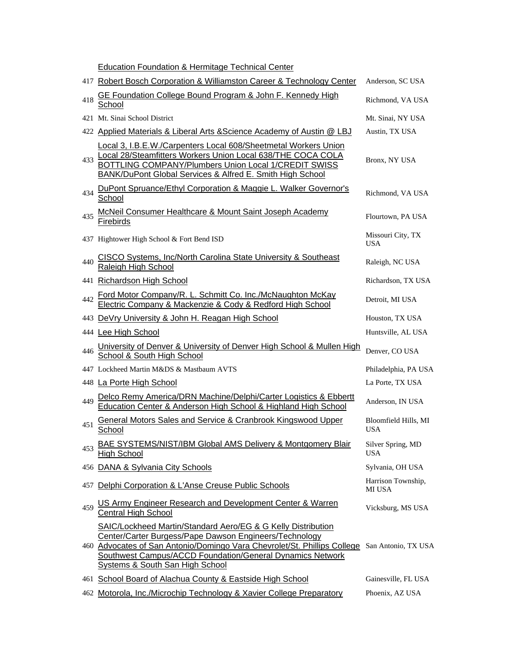Education Foundation & Hermitage Technical Center

|     | 417 Robert Bosch Corporation & Williamston Career & Technology Center                                                                                                                                                                                                                                                             | Anderson, SC USA                   |
|-----|-----------------------------------------------------------------------------------------------------------------------------------------------------------------------------------------------------------------------------------------------------------------------------------------------------------------------------------|------------------------------------|
| 418 | GE Foundation College Bound Program & John F. Kennedy High<br>School                                                                                                                                                                                                                                                              | Richmond, VA USA                   |
|     | 421 Mt. Sinai School District                                                                                                                                                                                                                                                                                                     | Mt. Sinai, NY USA                  |
|     | 422 Applied Materials & Liberal Arts & Science Academy of Austin @ LBJ                                                                                                                                                                                                                                                            | Austin, TX USA                     |
| 433 | Local 3, I.B.E.W./Carpenters Local 608/Sheetmetal Workers Union<br>Local 28/Steamfitters Workers Union Local 638/THE COCA COLA<br>BOTTLING COMPANY/Plumbers Union Local 1/CREDIT SWISS<br><b>BANK/DuPont Global Services &amp; Alfred E. Smith High School</b>                                                                    | Bronx, NY USA                      |
| 434 | DuPont Spruance/Ethyl Corporation & Maggie L. Walker Governor's<br>School                                                                                                                                                                                                                                                         | Richmond, VA USA                   |
| 435 | McNeil Consumer Healthcare & Mount Saint Joseph Academy<br>Firebirds                                                                                                                                                                                                                                                              | Flourtown, PA USA                  |
|     | 437 Hightower High School & Fort Bend ISD                                                                                                                                                                                                                                                                                         | Missouri City, TX<br><b>USA</b>    |
| 440 | CISCO Systems, Inc/North Carolina State University & Southeast<br>Raleigh High School                                                                                                                                                                                                                                             | Raleigh, NC USA                    |
| 441 | <b>Richardson High School</b>                                                                                                                                                                                                                                                                                                     | Richardson, TX USA                 |
| 442 | Ford Motor Company/R. L. Schmitt Co. Inc./McNaughton McKay<br>Electric Company & Mackenzie & Cody & Redford High School                                                                                                                                                                                                           | Detroit, MI USA                    |
| 443 | DeVry University & John H. Reagan High School                                                                                                                                                                                                                                                                                     | Houston, TX USA                    |
|     | 444 Lee High School                                                                                                                                                                                                                                                                                                               | Huntsville, AL USA                 |
| 446 | University of Denver & University of Denver High School & Mullen High School & South High School                                                                                                                                                                                                                                  | Denver, CO USA                     |
|     | 447 Lockheed Martin M&DS & Mastbaum AVTS                                                                                                                                                                                                                                                                                          | Philadelphia, PA USA               |
|     | 448 La Porte High School                                                                                                                                                                                                                                                                                                          | La Porte, TX USA                   |
| 449 | Delco Remy America/DRN Machine/Delphi/Carter Logistics & Ebbertt<br>Education Center & Anderson High School & Highland High School                                                                                                                                                                                                | Anderson, IN USA                   |
| 451 | General Motors Sales and Service & Cranbrook Kingswood Upper<br>School                                                                                                                                                                                                                                                            | Bloomfield Hills, MI<br><b>USA</b> |
| 453 | <b>BAE SYSTEMS/NIST/IBM Global AMS Delivery &amp; Montgomery Blair</b><br><b>High School</b>                                                                                                                                                                                                                                      | Silver Spring, MD<br><b>USA</b>    |
|     | 456 DANA & Sylvania City Schools                                                                                                                                                                                                                                                                                                  | Sylvania, OH USA                   |
|     | 457 Delphi Corporation & L'Anse Creuse Public Schools                                                                                                                                                                                                                                                                             | Harrison Township,<br>MI USA       |
| 459 | US Army Engineer Research and Development Center & Warren<br><b>Central High School</b>                                                                                                                                                                                                                                           | Vicksburg, MS USA                  |
|     | SAIC/Lockheed Martin/Standard Aero/EG & G Kelly Distribution<br>Center/Carter Burgess/Pape Dawson Engineers/Technology<br>460 Advocates of San Antonio/Domingo Vara Chevrolet/St. Phillips College San Antonio, TX USA<br>Southwest Campus/ACCD Foundation/General Dynamics Network<br><b>Systems &amp; South San High School</b> |                                    |
|     | 461 School Board of Alachua County & Eastside High School                                                                                                                                                                                                                                                                         | Gainesville, FL USA                |
|     | 462 Motorola, Inc./Microchip Technology & Xavier College Preparatory                                                                                                                                                                                                                                                              | Phoenix, AZ USA                    |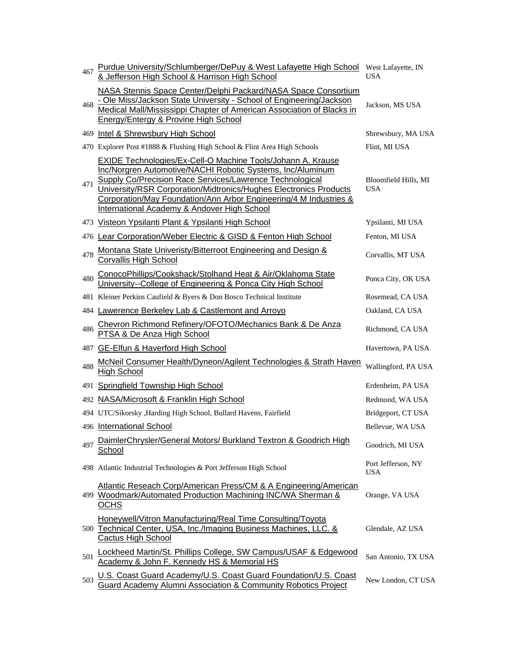| 467 | Purdue University/Schlumberger/DePuy & West Lafayette High School West Lafayette, IN<br>& Jefferson High School & Harrison High School                                                                                                                                                                                                                                                           | USA                                |
|-----|--------------------------------------------------------------------------------------------------------------------------------------------------------------------------------------------------------------------------------------------------------------------------------------------------------------------------------------------------------------------------------------------------|------------------------------------|
| 468 | NASA Stennis Space Center/Delphi Packard/NASA Space Consortium<br>- Ole Miss/Jackson State University - School of Engineering/Jackson<br>Medical Mall/Mississippi Chapter of American Association of Blacks in<br>Energy/Entergy & Provine High School                                                                                                                                           | Jackson, MS USA                    |
|     | 469 Intel & Shrewsbury High School                                                                                                                                                                                                                                                                                                                                                               | Shrewsbury, MA USA                 |
|     | 470 Explorer Post #1888 & Flushing High School & Flint Area High Schools                                                                                                                                                                                                                                                                                                                         | Flint, MI USA                      |
| 471 | EXIDE Technologies/Ex-Cell-O Machine Tools/Johann A. Krause<br>Inc/Norgren Automotive/NACHI Robotic Systems, Inc/Aluminum<br><b>Supply Co/Precision Race Services/Lawrence Technological</b><br>University/RSR Corporation/Midtronics/Hughes Electronics Products<br>Corporation/May Foundation/Ann Arbor Engineering/4 M Industries &<br><b>International Academy &amp; Andover High School</b> | Bloomfield Hills, MI<br><b>USA</b> |
|     | 473 Visteon Ypsilanti Plant & Ypsilanti High School                                                                                                                                                                                                                                                                                                                                              | Ypsilanti, MI USA                  |
|     | 476 Lear Corporation/Weber Electric & GISD & Fenton High School                                                                                                                                                                                                                                                                                                                                  | Fenton, MI USA                     |
| 478 | Montana State Univeristy/Bitterroot Engineering and Design &<br>Corvallis High School                                                                                                                                                                                                                                                                                                            | Corvallis, MT USA                  |
| 480 | ConocoPhillips/Cookshack/Stolhand Heat & Air/Oklahoma State<br>University--College of Engineering & Ponca City High School                                                                                                                                                                                                                                                                       | Ponca City, OK USA                 |
|     | 481 Kleiner Perkins Caufield & Byers & Don Bosco Technical Institute                                                                                                                                                                                                                                                                                                                             | Rosemead, CA USA                   |
|     | 484 Lawerence Berkeley Lab & Castlemont and Arroyo                                                                                                                                                                                                                                                                                                                                               | Oakland, CA USA                    |
| 486 | Chevron Richmond Refinery/OFOTO/Mechanics Bank & De Anza<br>PTSA & De Anza High School                                                                                                                                                                                                                                                                                                           | Richmond, CA USA                   |
| 487 | <b>GE-Elfun &amp; Haverford High School</b>                                                                                                                                                                                                                                                                                                                                                      | Havertown, PA USA                  |
| 488 | McNeil Consumer Health/Dyneon/Agilent Technologies & Strath Haven<br><b>High School</b>                                                                                                                                                                                                                                                                                                          | Wallingford, PA USA                |
|     | 491 Springfield Township High School                                                                                                                                                                                                                                                                                                                                                             | Erdenheim, PA USA                  |
|     | 492 NASA/Microsoft & Franklin High School                                                                                                                                                                                                                                                                                                                                                        | Redmond, WA USA                    |
|     | 494 UTC/Sikorsky , Harding High School, Bullard Havens, Fairfield                                                                                                                                                                                                                                                                                                                                | Bridgeport, CT USA                 |
|     | 496 International School                                                                                                                                                                                                                                                                                                                                                                         | Bellevue, WA USA                   |
| 497 | DaimlerChrysler/General Motors/ Burkland Textron & Goodrich High<br>School                                                                                                                                                                                                                                                                                                                       | Goodrich, MI USA                   |
|     | 498 Atlantic Industrial Technologies & Port Jefferson High School                                                                                                                                                                                                                                                                                                                                | Port Jefferson, NY<br><b>USA</b>   |
|     | Atlantic Reseach Corp/American Press/CM & A Engineering/American<br>499 Woodmark/Automated Production Machining INC/WA Sherman &<br><b>OCHS</b>                                                                                                                                                                                                                                                  | Orange, VA USA                     |
|     | Honeywell/Vitron Manufacturing/Real Time Consulting/Toyota<br>500 Technical Center, USA, Inc./Imaging Business Machines, LLC. &<br><b>Cactus High School</b>                                                                                                                                                                                                                                     | Glendale, AZ USA                   |
| 501 | Lockheed Martin/St. Phillips College, SW Campus/USAF & Edgewood<br>Academy & John F. Kennedy HS & Memorial HS                                                                                                                                                                                                                                                                                    | San Antonio, TX USA                |
| 503 | U.S. Coast Guard Academy/U.S. Coast Guard Foundation/U.S. Coast<br>Guard Academy Alumni Association & Community Robotics Project                                                                                                                                                                                                                                                                 | New London, CT USA                 |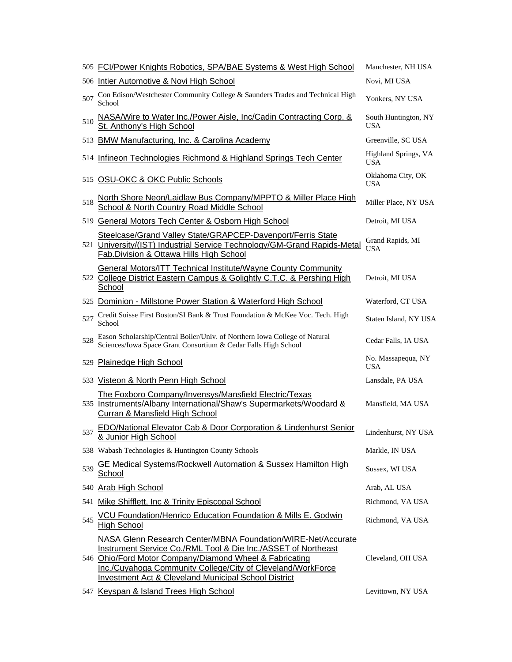|     | 505 FCI/Power Knights Robotics, SPA/BAE Systems & West High School                                                                                                                                                                                                                                                                | Manchester, NH USA                 |
|-----|-----------------------------------------------------------------------------------------------------------------------------------------------------------------------------------------------------------------------------------------------------------------------------------------------------------------------------------|------------------------------------|
|     | 506 Intier Automotive & Novi High School                                                                                                                                                                                                                                                                                          | Novi, MI USA                       |
| 507 | Con Edison/Westchester Community College & Saunders Trades and Technical High<br>School                                                                                                                                                                                                                                           | Yonkers, NY USA                    |
| 510 | NASA/Wire to Water Inc./Power Aisle, Inc/Cadin Contracting Corp. &<br>St. Anthony's High School                                                                                                                                                                                                                                   | South Huntington, NY<br><b>USA</b> |
| 513 | <b>BMW Manufacturing, Inc. &amp; Carolina Academy</b>                                                                                                                                                                                                                                                                             | Greenville, SC USA                 |
| 514 | Infineon Technologies Richmond & Highland Springs Tech Center                                                                                                                                                                                                                                                                     | Highland Springs, VA<br><b>USA</b> |
|     | 515 OSU-OKC & OKC Public Schools                                                                                                                                                                                                                                                                                                  | Oklahoma City, OK<br><b>USA</b>    |
| 518 | North Shore Neon/Laidlaw Bus Company/MPPTO & Miller Place High<br>School & North Country Road Middle School                                                                                                                                                                                                                       | Miller Place, NY USA               |
|     | 519 General Motors Tech Center & Osborn High School                                                                                                                                                                                                                                                                               | Detroit, MI USA                    |
|     | Steelcase/Grand Valley State/GRAPCEP-Davenport/Ferris State<br>521 University/(IST) Industrial Service Technology/GM-Grand Rapids-Metal<br>Fab. Division & Ottawa Hills High School                                                                                                                                               | Grand Rapids, MI<br><b>USA</b>     |
|     | <b>General Motors/ITT Technical Institute/Wayne County Community</b><br>522 College District Eastern Campus & Golightly C.T.C. & Pershing High<br>School                                                                                                                                                                          | Detroit, MI USA                    |
|     | 525 Dominion - Millstone Power Station & Waterford High School                                                                                                                                                                                                                                                                    | Waterford, CT USA                  |
| 527 | Credit Suisse First Boston/SI Bank & Trust Foundation & McKee Voc. Tech. High<br>School                                                                                                                                                                                                                                           | Staten Island, NY USA              |
| 528 | Eason Scholarship/Central Boiler/Univ. of Northern Iowa College of Natural<br>Sciences/Iowa Space Grant Consortium & Cedar Falls High School                                                                                                                                                                                      | Cedar Falls, IA USA                |
| 529 | <b>Plainedge High School</b>                                                                                                                                                                                                                                                                                                      | No. Massapequa, NY<br><b>USA</b>   |
|     | 533 Visteon & North Penn High School                                                                                                                                                                                                                                                                                              | Lansdale, PA USA                   |
|     | The Foxboro Company/Invensys/Mansfield Electric/Texas<br>535 Instruments/Albany International/Shaw's Supermarkets/Woodard &<br>Curran & Mansfield High School                                                                                                                                                                     | Mansfield, MA USA                  |
| 537 | EDO/National Elevator Cab & Door Corporation & Lindenhurst Senior<br>& Junior High School                                                                                                                                                                                                                                         | Lindenhurst, NY USA                |
|     | 538 Wabash Technologies & Huntington County Schools                                                                                                                                                                                                                                                                               | Markle, IN USA                     |
| 539 | <b>GE Medical Systems/Rockwell Automation &amp; Sussex Hamilton High</b><br>School                                                                                                                                                                                                                                                | Sussex, WI USA                     |
|     | 540 Arab High School                                                                                                                                                                                                                                                                                                              | Arab, AL USA                       |
| 541 | Mike Shifflett, Inc & Trinity Episcopal School                                                                                                                                                                                                                                                                                    | Richmond, VA USA                   |
| 545 | <b>VCU Foundation/Henrico Education Foundation &amp; Mills E. Godwin</b><br><b>High School</b>                                                                                                                                                                                                                                    | Richmond, VA USA                   |
|     | <b>NASA Glenn Research Center/MBNA Foundation/WIRE-Net/Accurate</b><br>Instrument Service Co./RML Tool & Die Inc./ASSET of Northeast<br>546 Ohio/Ford Motor Company/Diamond Wheel & Fabricating<br>Inc./Cuyahoga Community College/City of Cleveland/WorkForce<br><b>Investment Act &amp; Cleveland Municipal School District</b> | Cleveland, OH USA                  |
|     | 547 Keyspan & Island Trees High School                                                                                                                                                                                                                                                                                            | Levittown, NY USA                  |
|     |                                                                                                                                                                                                                                                                                                                                   |                                    |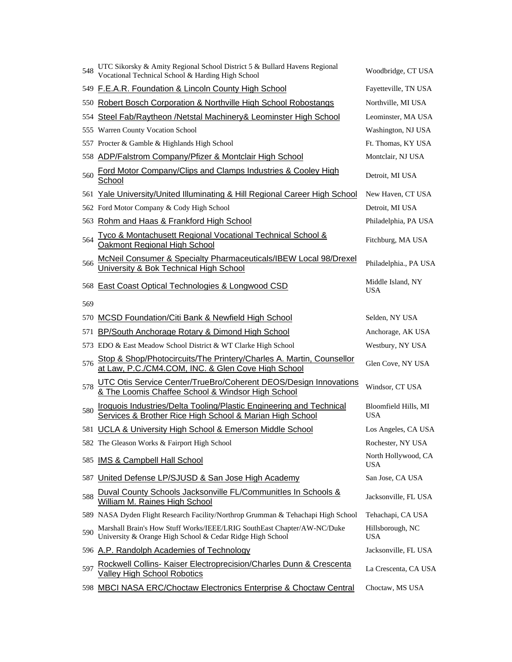| 548 | UTC Sikorsky & Amity Regional School District 5 & Bullard Havens Regional<br>Vocational Technical School & Harding High School         | Woodbridge, CT USA                 |
|-----|----------------------------------------------------------------------------------------------------------------------------------------|------------------------------------|
| 549 | F.E.A.R. Foundation & Lincoln County High School                                                                                       | Fayetteville, TN USA               |
| 550 | Robert Bosch Corporation & Northville High School Robostangs                                                                           | Northville, MI USA                 |
| 554 | Steel Fab/Raytheon /Netstal Machinery& Leominster High School                                                                          | Leominster, MA USA                 |
|     | 555 Warren County Vocation School                                                                                                      | Washington, NJ USA                 |
|     | 557 Procter & Gamble & Highlands High School                                                                                           | Ft. Thomas, KY USA                 |
| 558 | ADP/Falstrom Company/Pfizer & Montclair High School                                                                                    | Montclair, NJ USA                  |
| 560 | Ford Motor Company/Clips and Clamps Industries & Cooley High<br>School                                                                 | Detroit, MI USA                    |
| 561 | Yale University/United Illuminating & Hill Regional Career High School                                                                 | New Haven, CT USA                  |
|     | 562 Ford Motor Company & Cody High School                                                                                              | Detroit, MI USA                    |
| 563 | Rohm and Haas & Frankford High School                                                                                                  | Philadelphia, PA USA               |
| 564 | <u>Tyco &amp; Montachusett Regional Vocational Technical School &amp;</u><br>Oakmont Regional High School                              | Fitchburg, MA USA                  |
| 566 | McNeil Consumer & Specialty Pharmaceuticals/IBEW Local 98/Drexel<br>University & Bok Technical High School                             | Philadelphia., PA USA              |
|     | 568 East Coast Optical Technologies & Longwood CSD                                                                                     | Middle Island, NY<br><b>USA</b>    |
| 569 |                                                                                                                                        |                                    |
| 570 | <b>MCSD Foundation/Citi Bank &amp; Newfield High School</b>                                                                            | Selden, NY USA                     |
| 571 | BP/South Anchorage Rotary & Dimond High School                                                                                         | Anchorage, AK USA                  |
|     | 573 EDO & East Meadow School District & WT Clarke High School                                                                          | Westbury, NY USA                   |
| 576 | Stop & Shop/Photocircuits/The Printery/Charles A. Martin, Counsellor<br>at Law, P.C./CM4.COM, INC. & Glen Cove High School             | Glen Cove, NY USA                  |
| 578 | UTC Otis Service Center/TrueBro/Coherent DEOS/Design Innovations<br>& The Loomis Chaffee School & Windsor High School                  | Windsor, CT USA                    |
| 580 | <b>Iroquois Industries/Delta Tooling/Plastic Engineering and Technical</b><br>Services & Brother Rice High School & Marian High School | Bloomfield Hills, MI<br><b>USA</b> |
|     | 581 UCLA & University High School & Emerson Middle School                                                                              | Los Angeles, CA USA                |
|     | 582 The Gleason Works & Fairport High School                                                                                           | Rochester, NY USA                  |
| 585 | <b>IMS &amp; Campbell Hall School</b>                                                                                                  | North Hollywood, CA<br><b>USA</b>  |
| 587 | United Defense LP/SJUSD & San Jose High Academy                                                                                        | San Jose, CA USA                   |
| 588 | Duval County Schools Jacksonville FL/Communitles In Schools &<br>William M. Raines High School                                         | Jacksonville, FL USA               |
|     | 589 NASA Dyden Flight Research Facility/Northrop Grumman & Tehachapi High School                                                       | Tehachapi, CA USA                  |
| 590 | Marshall Brain's How Stuff Works/IEEE/LRIG SouthEast Chapter/AW-NC/Duke<br>University & Orange High School & Cedar Ridge High School   | Hillsborough, NC<br><b>USA</b>     |
|     | 596 A.P. Randolph Academies of Technology                                                                                              | Jacksonville, FL USA               |
| 597 | Rockwell Collins- Kaiser Electroprecision/Charles Dunn & Crescenta<br>Valley High School Robotics                                      | La Crescenta, CA USA               |
|     | 598 MBCI NASA ERC/Choctaw Electronics Enterprise & Choctaw Central                                                                     | Choctaw, MS USA                    |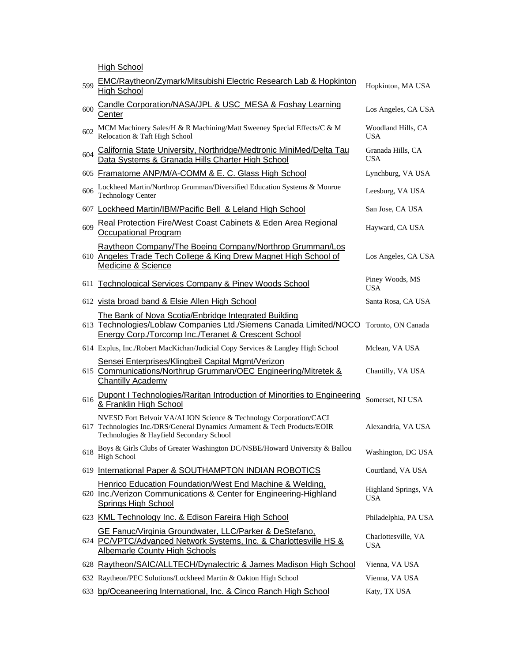**High School** 

| 599 | EMC/Raytheon/Zymark/Mitsubishi Electric Research Lab & Hopkinton<br><b>High School</b>                                                                                                    | Hopkinton, MA USA                  |
|-----|-------------------------------------------------------------------------------------------------------------------------------------------------------------------------------------------|------------------------------------|
| 600 | Candle Corporation/NASA/JPL & USC_MESA & Foshay Learning<br>Center                                                                                                                        | Los Angeles, CA USA                |
| 602 | MCM Machinery Sales/H & R Machining/Matt Sweeney Special Effects/C & M<br>Relocation & Taft High School                                                                                   | Woodland Hills, CA<br><b>USA</b>   |
| 604 | California State University, Northridge/Medtronic MiniMed/Delta Tau<br>Data Systems & Granada Hills Charter High School                                                                   | Granada Hills, CA<br><b>USA</b>    |
|     | 605 Framatome ANP/M/A-COMM & E. C. Glass High School                                                                                                                                      | Lynchburg, VA USA                  |
| 606 | Lockheed Martin/Northrop Grumman/Diversified Education Systems & Monroe<br><b>Technology Center</b>                                                                                       | Leesburg, VA USA                   |
|     | 607 Lockheed Martin/IBM/Pacific Bell & Leland High School                                                                                                                                 | San Jose, CA USA                   |
| 609 | Real Protection Fire/West Coast Cabinets & Eden Area Regional<br><b>Occupational Program</b>                                                                                              | Hayward, CA USA                    |
|     | Raytheon Company/The Boeing Company/Northrop Grumman/Los<br>610 Angeles Trade Tech College & King Drew Magnet High School of<br>Medicine & Science                                        | Los Angeles, CA USA                |
|     | 611 Technological Services Company & Piney Woods School                                                                                                                                   | Piney Woods, MS<br><b>USA</b>      |
|     | 612 vista broad band & Elsie Allen High School                                                                                                                                            | Santa Rosa, CA USA                 |
|     | The Bank of Nova Scotia/Enbridge Integrated Building<br>613 Technologies/Loblaw Companies Ltd./Siemens Canada Limited/NOCO<br>Energy Corp./Torcomp Inc./Teranet & Crescent School         | Toronto, ON Canada                 |
|     | 614 Explus, Inc./Robert MacKichan/Judicial Copy Services & Langley High School                                                                                                            | Mclean, VA USA                     |
|     | Sensei Enterprises/Klingbeil Capital Mgmt/Verizon<br>615 Communications/Northrup Grumman/OEC Engineering/Mitretek &<br><b>Chantilly Academy</b>                                           | Chantilly, VA USA                  |
| 616 | Dupont I Technologies/Raritan Introduction of Minorities to Engineering<br>& Franklin High School                                                                                         | Somerset, NJ USA                   |
|     | NVESD Fort Belvoir VA/ALION Science & Technology Corporation/CACI<br>617 Technologies Inc./DRS/General Dynamics Armament & Tech Products/EOIR<br>Technologies & Hayfield Secondary School | Alexandria, VA USA                 |
|     | 618 Boys & Girls Clubs of Greater Washington DC/NSBE/Howard University & Ballou<br>High School                                                                                            | Washington, DC USA                 |
|     | 619 International Paper & SOUTHAMPTON INDIAN ROBOTICS                                                                                                                                     | Courtland, VA USA                  |
|     | Henrico Education Foundation/West End Machine & Welding,<br>620 Inc./Verizon Communications & Center for Engineering-Highland<br><b>Springs High School</b>                               | Highland Springs, VA<br><b>USA</b> |
|     | 623 KML Technology Inc. & Edison Fareira High School                                                                                                                                      | Philadelphia, PA USA               |
|     | GE Fanuc/Virginia Groundwater, LLC/Parker & DeStefano,<br>624 PC/VPTC/Advanced Network Systems, Inc. & Charlottesville HS &<br><b>Albemarle County High Schools</b>                       | Charlottesville, VA<br><b>USA</b>  |
|     | 628 Raytheon/SAIC/ALLTECH/Dynalectric & James Madison High School                                                                                                                         | Vienna, VA USA                     |
|     | 632 Raytheon/PEC Solutions/Lockheed Martin & Oakton High School                                                                                                                           | Vienna, VA USA                     |
|     | 633 bp/Oceaneering International, Inc. & Cinco Ranch High School                                                                                                                          | Katy, TX USA                       |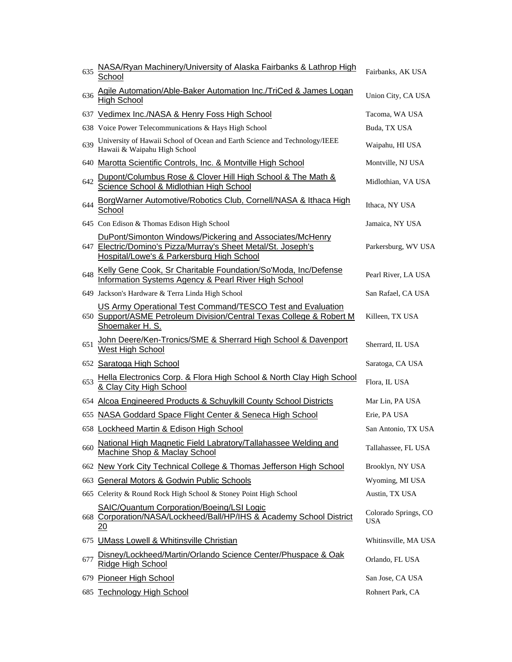| 635 | NASA/Ryan Machinery/University of Alaska Fairbanks & Lathrop High<br>School                                                                                            | Fairbanks, AK USA           |
|-----|------------------------------------------------------------------------------------------------------------------------------------------------------------------------|-----------------------------|
| 636 | Agile Automation/Able-Baker Automation Inc./TriCed & James Logan<br><b>High School</b>                                                                                 | Union City, CA USA          |
|     | 637 Vedimex Inc./NASA & Henry Foss High School                                                                                                                         | Tacoma, WA USA              |
|     | 638 Voice Power Telecommunications & Hays High School                                                                                                                  | Buda, TX USA                |
| 639 | University of Hawaii School of Ocean and Earth Science and Technology/IEEE<br>Hawaii & Waipahu High School                                                             | Waipahu, HI USA             |
|     | 640 Marotta Scientific Controls, Inc. & Montville High School                                                                                                          | Montville, NJ USA           |
| 642 | Dupont/Columbus Rose & Clover Hill High School & The Math &<br>Science School & Midlothian High School                                                                 | Midlothian, VA USA          |
| 644 | BorgWarner Automotive/Robotics Club, Cornell/NASA & Ithaca High<br>School                                                                                              | Ithaca, NY USA              |
|     | 645 Con Edison & Thomas Edison High School                                                                                                                             | Jamaica, NY USA             |
|     | DuPont/Simonton Windows/Pickering and Associates/McHenry<br>647 Electric/Domino's Pizza/Murray's Sheet Metal/St. Joseph's<br>Hospital/Lowe's & Parkersburg High School | Parkersburg, WV USA         |
| 648 | Kelly Gene Cook, Sr Charitable Foundation/So'Moda, Inc/Defense<br>Information Systems Agency & Pearl River High School                                                 | Pearl River, LA USA         |
|     | 649 Jackson's Hardware & Terra Linda High School                                                                                                                       | San Rafael, CA USA          |
|     | US Army Operational Test Command/TESCO Test and Evaluation<br>650 Support/ASME Petroleum Division/Central Texas College & Robert M<br>Shoemaker H. S.                  | Killeen, TX USA             |
| 651 | John Deere/Ken-Tronics/SME & Sherrard High School & Davenport<br>West High School                                                                                      | Sherrard, IL USA            |
|     | 652 Saratoga High School                                                                                                                                               | Saratoga, CA USA            |
| 653 | Hella Electronics Corp. & Flora High School & North Clay High School<br>& Clay City High School                                                                        | Flora, IL USA               |
|     | 654 Alcoa Engineered Products & Schuylkill County School Districts                                                                                                     | Mar Lin, PA USA             |
| 655 | NASA Goddard Space Flight Center & Seneca High School                                                                                                                  | Erie, PA USA                |
|     | 658 Lockheed Martin & Edison High School                                                                                                                               | San Antonio, TX USA         |
| 660 | National High Magnetic Field Labratory/Tallahassee Welding and<br>Machine Shop & Maclay School                                                                         | Tallahassee, FL USA         |
|     | 662 New York City Technical College & Thomas Jefferson High School                                                                                                     | Brooklyn, NY USA            |
| 663 | General Motors & Godwin Public Schools                                                                                                                                 | Wyoming, MI USA             |
|     | 665 Celerity & Round Rock High School & Stoney Point High School                                                                                                       | Austin, TX USA              |
|     | <b>SAIC/Quantum Corporation/Boeing/LSI Logic</b><br>668 Corporation/NASA/Lockheed/Ball/HP/IHS & Academy School District<br><u> 20</u>                                  | Colorado Springs, CO<br>USA |
| 6/5 | <b>UMass Lowell &amp; Whitinsville Christian</b>                                                                                                                       | Whitinsville, MA USA        |
| 677 | Disney/Lockheed/Martin/Orlando Science Center/Phuspace & Oak<br><u>Ridge High School</u>                                                                               | Orlando, FL USA             |
|     | 679 Pioneer High School                                                                                                                                                | San Jose, CA USA            |
|     | 685 Technology High School                                                                                                                                             | Rohnert Park, CA            |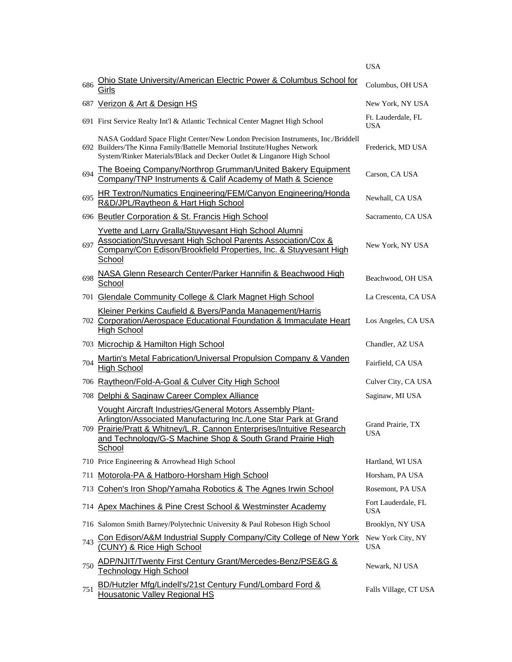|     |                                                                                                                                                                                                                                                                                | <b>USA</b>                        |
|-----|--------------------------------------------------------------------------------------------------------------------------------------------------------------------------------------------------------------------------------------------------------------------------------|-----------------------------------|
| 686 | Ohio State University/American Electric Power & Columbus School for<br>Girls                                                                                                                                                                                                   | Columbus, OH USA                  |
|     | 687 Verizon & Art & Design HS                                                                                                                                                                                                                                                  | New York, NY USA                  |
|     | 691 First Service Realty Int'l & Atlantic Technical Center Magnet High School                                                                                                                                                                                                  | Ft. Lauderdale, FL<br><b>USA</b>  |
|     | NASA Goddard Space Flight Center/New London Precision Instruments, Inc./Briddell<br>692 Builders/The Kinna Family/Battelle Memorial Institute/Hughes Network<br>System/Rinker Materials/Black and Decker Outlet & Linganore High School                                        | Frederick, MD USA                 |
| 694 | The Boeing Company/Northrop Grumman/United Bakery Equipment<br>Company/TNP Instruments & Calif Academy of Math & Science                                                                                                                                                       | Carson, CA USA                    |
| 695 | HR Textron/Numatics Engineering/FEM/Canyon Engineering/Honda<br>R&D/JPL/Raytheon & Hart High School                                                                                                                                                                            | Newhall, CA USA                   |
|     | 696 Beutler Corporation & St. Francis High School                                                                                                                                                                                                                              | Sacramento, CA USA                |
| 697 | Yvette and Larry Gralla/Stuyvesant High School Alumni<br>Association/Stuyvesant High School Parents Association/Cox &<br>Company/Con Edison/Brookfield Properties, Inc. & Stuyvesant High<br>School                                                                            | New York, NY USA                  |
| 698 | NASA Glenn Research Center/Parker Hannifin & Beachwood High<br>School                                                                                                                                                                                                          | Beachwood, OH USA                 |
|     | 701 Glendale Community College & Clark Magnet High School                                                                                                                                                                                                                      | La Crescenta, CA USA              |
|     | Kleiner Perkins Caufield & Byers/Panda Management/Harris<br>702 Corporation/Aerospace Educational Foundation & Immaculate Heart<br><b>High School</b>                                                                                                                          | Los Angeles, CA USA               |
| 703 | Microchip & Hamilton High School                                                                                                                                                                                                                                               | Chandler, AZ USA                  |
| 704 | Martin's Metal Fabrication/Universal Propulsion Company & Vanden<br><b>High School</b>                                                                                                                                                                                         | Fairfield, CA USA                 |
|     | 706 Raytheon/Fold-A-Goal & Culver City High School                                                                                                                                                                                                                             | Culver City, CA USA               |
| 708 | Delphi & Saginaw Career Complex Alliance                                                                                                                                                                                                                                       | Saginaw, MI USA                   |
|     | Vought Aircraft Industries/General Motors Assembly Plant-<br>Arlington/Associated Manufacturing Inc./Lone Star Park at Grand<br>709 Prairie/Pratt & Whitney/L.R. Cannon Enterprises/Intuitive Research<br>and Technology/G-S Machine Shop & South Grand Prairie High<br>School | Grand Prairie, TX<br>USA          |
|     | 710 Price Engineering & Arrowhead High School                                                                                                                                                                                                                                  | Hartland, WI USA                  |
| 711 | Motorola-PA & Hatboro-Horsham High School                                                                                                                                                                                                                                      | Horsham, PA USA                   |
| 713 | Cohen's Iron Shop/Yamaha Robotics & The Agnes Irwin School                                                                                                                                                                                                                     | Rosemont, PA USA                  |
| 714 | Apex Machines & Pine Crest School & Westminster Academy                                                                                                                                                                                                                        | Fort Lauderdale, FL<br><b>USA</b> |
|     | 716 Salomon Smith Barney/Polytechnic University & Paul Robeson High School                                                                                                                                                                                                     | Brooklyn, NY USA                  |
| 743 | Con Edison/A&M Industrial Supply Company/City College of New York<br>(CUNY) & Rice High School                                                                                                                                                                                 | New York City, NY<br><b>USA</b>   |
| 750 | ADP/NJIT/Twenty First Century Grant/Mercedes-Benz/PSE&G &<br>Technology High School                                                                                                                                                                                            | Newark, NJ USA                    |
| 751 | BD/Hutzler Mfg/Lindell's/21st Century Fund/Lombard Ford &<br><b>Housatonic Valley Regional HS</b>                                                                                                                                                                              | Falls Village, CT USA             |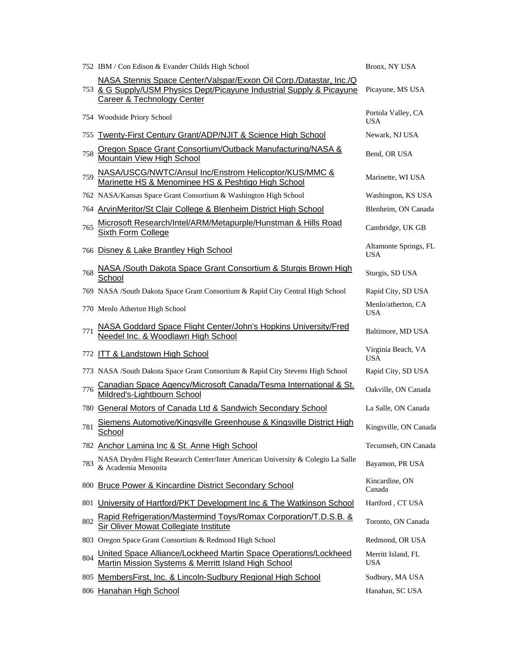|     | 752 IBM / Con Edison & Evander Childs High School                                                                                                                         | Bronx, NY USA                       |
|-----|---------------------------------------------------------------------------------------------------------------------------------------------------------------------------|-------------------------------------|
|     | NASA Stennis Space Center/Valspar/Exxon Oil Corp./Datastar, Inc./Q<br>753 & G Supply/USM Physics Dept/Picayune Industrial Supply & Picayune<br>Career & Technology Center | Picayune, MS USA                    |
|     | 754 Woodside Priory School                                                                                                                                                | Portola Valley, CA<br><b>USA</b>    |
| 755 | Twenty-First Century Grant/ADP/NJIT & Science High School                                                                                                                 | Newark, NJ USA                      |
| 758 | Oregon Space Grant Consortium/Outback Manufacturing/NASA &<br><b>Mountain View High School</b>                                                                            | Bend, OR USA                        |
| 759 | NASA/USCG/NWTC/Ansul Inc/Enstrom Helicoptor/KUS/MMC &<br>Marinette HS & Menominee HS & Peshtigo High School                                                               | Marinette, WI USA                   |
|     | 762 NASA/Kansas Space Grant Consortium & Washington High School                                                                                                           | Washington, KS USA                  |
|     | 764 ArvinMeritor/St Clair College & Blenheim District High School                                                                                                         | Blenheim, ON Canada                 |
| 765 | Microsoft Research/Intel/ARM/Metapurple/Hunstman & Hills Road<br><b>Sixth Form College</b>                                                                                | Cambridge, UK GB                    |
|     | 766 Disney & Lake Brantley High School                                                                                                                                    | Altamonte Springs, FL<br><b>USA</b> |
| 768 | NASA /South Dakota Space Grant Consortium & Sturgis Brown High<br>School                                                                                                  | Sturgis, SD USA                     |
|     | 769 NASA /South Dakota Space Grant Consortium & Rapid City Central High School                                                                                            | Rapid City, SD USA                  |
|     | 770 Menlo Atherton High School                                                                                                                                            | Menlo/atherton, CA<br><b>USA</b>    |
| 771 | NASA Goddard Space Flight Center/John's Hopkins University/Fred<br>Needel Inc. & Woodlawn High School                                                                     | Baltimore, MD USA                   |
|     | 772 ITT & Landstown High School                                                                                                                                           | Virginia Beach, VA<br><b>USA</b>    |
|     | 773 NASA /South Dakota Space Grant Consortium & Rapid City Stevens High School                                                                                            | Rapid City, SD USA                  |
| 776 | Canadian Space Agency/Microsoft Canada/Tesma International & St.<br>Mildred's-Lightbourn School                                                                           | Oakville, ON Canada                 |
|     | 780 General Motors of Canada Ltd & Sandwich Secondary School                                                                                                              | La Salle, ON Canada                 |
| 781 | Siemens Automotive/Kingsville Greenhouse & Kingsville District High<br><b>School</b>                                                                                      | Kingsville, ON Canada               |
|     | 782 Anchor Lamina Inc & St. Anne High School                                                                                                                              | Tecumseh, ON Canada                 |
| 783 | NASA Dryden Flight Research Center/Inter American University & Colegio La Salle<br>& Academia Menonita                                                                    | Bayamon, PR USA                     |
|     | 800 Bruce Power & Kincardine District Secondary School                                                                                                                    | Kincardine, ON<br>Canada            |
| 801 | University of Hartford/PKT Development Inc & The Watkinson School                                                                                                         | Hartford, CT USA                    |
| 802 | Rapid Refrigeration/Mastermind Toys/Romax Corporation/T.D.S.B. &<br>Sir Oliver Mowat Collegiate Institute                                                                 | Toronto, ON Canada                  |
|     | 803 Oregon Space Grant Consortium & Redmond High School                                                                                                                   | Redmond, OR USA                     |
| 804 | United Space Alliance/Lockheed Martin Space Operations/Lockheed<br>Martin Mission Systems & Merritt Island High School                                                    | Merritt Island, FL<br><b>USA</b>    |
|     | 805 MembersFirst, Inc. & Lincoln-Sudbury Regional High School                                                                                                             | Sudbury, MA USA                     |
|     | 806 Hanahan High School                                                                                                                                                   | Hanahan, SC USA                     |
|     |                                                                                                                                                                           |                                     |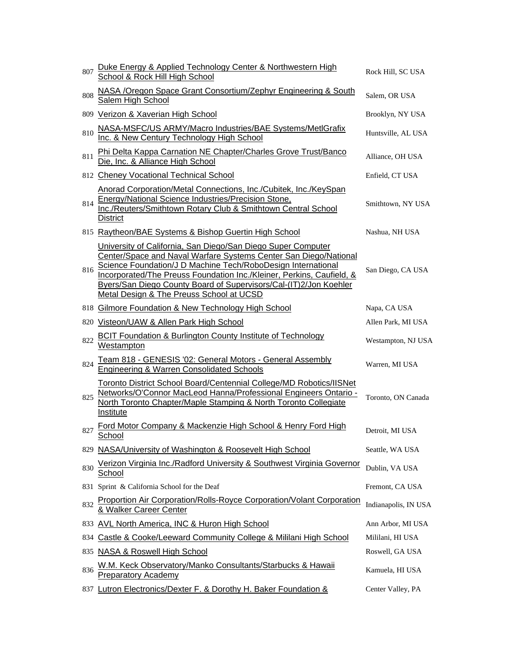| 807 | Duke Energy & Applied Technology Center & Northwestern High<br>School & Rock Hill High School                                                                                                                                                                                                                                                                                              | Rock Hill, SC USA    |
|-----|--------------------------------------------------------------------------------------------------------------------------------------------------------------------------------------------------------------------------------------------------------------------------------------------------------------------------------------------------------------------------------------------|----------------------|
| 808 | NASA / Oregon Space Grant Consortium/Zephyr Engineering & South<br>Salem High School                                                                                                                                                                                                                                                                                                       | Salem, OR USA        |
|     | 809 Verizon & Xaverian High School                                                                                                                                                                                                                                                                                                                                                         | Brooklyn, NY USA     |
| 810 | NASA-MSFC/US ARMY/Macro Industries/BAE Systems/MetlGrafix<br>Inc. & New Century Technology High School                                                                                                                                                                                                                                                                                     | Huntsville, AL USA   |
| 811 | Phi Delta Kappa Carnation NE Chapter/Charles Grove Trust/Banco<br>Die, Inc. & Alliance High School                                                                                                                                                                                                                                                                                         | Alliance, OH USA     |
|     | 812 Cheney Vocational Technical School                                                                                                                                                                                                                                                                                                                                                     | Enfield, CT USA      |
| 814 | Anorad Corporation/Metal Connections, Inc./Cubitek, Inc./KeySpan<br>Energy/National Science Industries/Precision Stone,<br>Inc./Reuters/Smithtown Rotary Club & Smithtown Central School<br><b>District</b>                                                                                                                                                                                | Smithtown, NY USA    |
|     | 815 Raytheon/BAE Systems & Bishop Guertin High School                                                                                                                                                                                                                                                                                                                                      | Nashua, NH USA       |
| 816 | University of California, San Diego/San Diego Super Computer<br>Center/Space and Naval Warfare Systems Center San Diego/National<br>Science Foundation/J D Machine Tech/RoboDesign International<br>Incorporated/The Preuss Foundation Inc./Kleiner, Perkins, Caufield, &<br>Byers/San Diego County Board of Supervisors/Cal-(IT)2/Jon Koehler<br>Metal Design & The Preuss School at UCSD | San Diego, CA USA    |
|     | 818 Gilmore Foundation & New Technology High School                                                                                                                                                                                                                                                                                                                                        | Napa, CA USA         |
|     | 820 Visteon/UAW & Allen Park High School                                                                                                                                                                                                                                                                                                                                                   | Allen Park, MI USA   |
| 822 | <b>BCIT Foundation &amp; Burlington County Institute of Technology</b><br>Westampton                                                                                                                                                                                                                                                                                                       | Westampton, NJ USA   |
| 824 | Team 818 - GENESIS '02: General Motors - General Assembly<br><b>Engineering &amp; Warren Consolidated Schools</b>                                                                                                                                                                                                                                                                          | Warren, MI USA       |
| 825 | Toronto District School Board/Centennial College/MD Robotics/IISNet<br>Networks/O'Connor MacLeod Hanna/Professional Engineers Ontario -<br>North Toronto Chapter/Maple Stamping & North Toronto Collegiate<br>Institute                                                                                                                                                                    | Toronto, ON Canada   |
| 827 | Ford Motor Company & Mackenzie High School & Henry Ford High<br>School                                                                                                                                                                                                                                                                                                                     | Detroit, MI USA      |
| 829 | NASA/University of Washington & Roosevelt High School                                                                                                                                                                                                                                                                                                                                      | Seattle, WA USA      |
| 830 | Verizon Virginia Inc./Radford University & Southwest Virginia Governor<br>School                                                                                                                                                                                                                                                                                                           | Dublin, VA USA       |
|     | 831 Sprint & California School for the Deaf                                                                                                                                                                                                                                                                                                                                                | Fremont, CA USA      |
| 832 | Proportion Air Corporation/Rolls-Royce Corporation/Volant Corporation<br>& Walker Career Center                                                                                                                                                                                                                                                                                            | Indianapolis, IN USA |
| 833 | <b>AVL North America, INC &amp; Huron High School</b>                                                                                                                                                                                                                                                                                                                                      | Ann Arbor, MI USA    |
| 834 | Castle & Cooke/Leeward Community College & Mililani High School                                                                                                                                                                                                                                                                                                                            | Mililani, HI USA     |
| 835 | <b>NASA &amp; Roswell High School</b>                                                                                                                                                                                                                                                                                                                                                      | Roswell, GA USA      |
| 836 | W.M. Keck Observatory/Manko Consultants/Starbucks & Hawaii<br><b>Preparatory Academy</b>                                                                                                                                                                                                                                                                                                   | Kamuela, HI USA      |
|     | 837 Lutron Electronics/Dexter F. & Dorothy H. Baker Foundation &                                                                                                                                                                                                                                                                                                                           | Center Valley, PA    |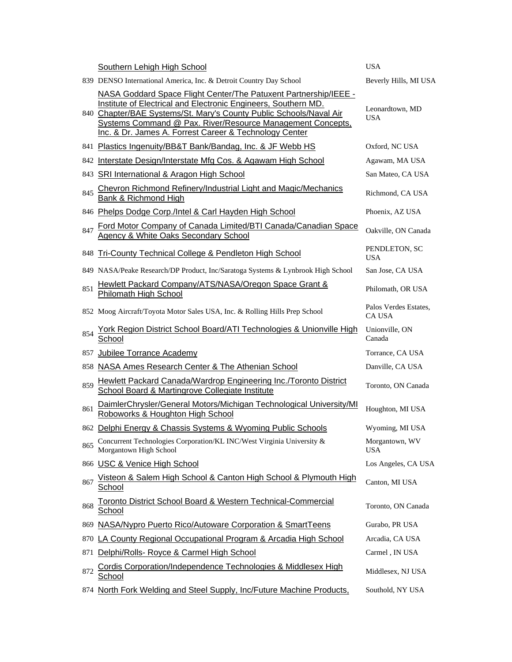|     | Southern Lehigh High School                                                                                                                                                                                                                                                                                                      | <b>USA</b>                             |
|-----|----------------------------------------------------------------------------------------------------------------------------------------------------------------------------------------------------------------------------------------------------------------------------------------------------------------------------------|----------------------------------------|
|     | 839 DENSO International America, Inc. & Detroit Country Day School                                                                                                                                                                                                                                                               | Beverly Hills, MI USA                  |
|     | NASA Goddard Space Flight Center/The Patuxent Partnership/IEEE -<br>Institute of Electrical and Electronic Engineers, Southern MD.<br>840 Chapter/BAE Systems/St. Mary's County Public Schools/Naval Air<br>Systems Command @ Pax. River/Resource Management Concepts,<br>Inc. & Dr. James A. Forrest Career & Technology Center | Leonardtown, MD<br>USA                 |
|     | 841 Plastics Ingenuity/BB&T Bank/Bandag, Inc. & JF Webb HS                                                                                                                                                                                                                                                                       | Oxford, NC USA                         |
|     | 842 Interstate Design/Interstate Mfg Cos. & Agawam High School                                                                                                                                                                                                                                                                   | Agawam, MA USA                         |
|     | 843 SRI International & Aragon High School                                                                                                                                                                                                                                                                                       | San Mateo, CA USA                      |
| 845 | Chevron Richmond Refinery/Industrial Light and Magic/Mechanics<br>Bank & Richmond High                                                                                                                                                                                                                                           | Richmond, CA USA                       |
|     | 846 Phelps Dodge Corp./Intel & Carl Hayden High School                                                                                                                                                                                                                                                                           | Phoenix, AZ USA                        |
| 847 | Ford Motor Company of Canada Limited/BTI Canada/Canadian Space<br><b>Agency &amp; White Oaks Secondary School</b>                                                                                                                                                                                                                | Oakville, ON Canada                    |
|     | 848 Tri-County Technical College & Pendleton High School                                                                                                                                                                                                                                                                         | PENDLETON, SC<br><b>USA</b>            |
|     | 849 NASA/Peake Research/DP Product, Inc/Saratoga Systems & Lynbrook High School                                                                                                                                                                                                                                                  | San Jose, CA USA                       |
| 851 | Hewlett Packard Company/ATS/NASA/Oregon Space Grant &<br>Philomath High School                                                                                                                                                                                                                                                   | Philomath, OR USA                      |
|     | 852 Moog Aircraft/Toyota Motor Sales USA, Inc. & Rolling Hills Prep School                                                                                                                                                                                                                                                       | Palos Verdes Estates,<br><b>CA USA</b> |
| 854 | York Region District School Board/ATI Technologies & Unionville High<br>School                                                                                                                                                                                                                                                   | Unionville, ON<br>Canada               |
| 857 | <b>Jubilee Torrance Academy</b>                                                                                                                                                                                                                                                                                                  | Torrance, CA USA                       |
| 858 | NASA Ames Research Center & The Athenian School                                                                                                                                                                                                                                                                                  | Danville, CA USA                       |
| 859 | <b>Hewlett Packard Canada/Wardrop Engineering Inc./Toronto District</b><br>School Board & Martingrove Collegiate Institute                                                                                                                                                                                                       | Toronto, ON Canada                     |
| 861 | DaimlerChrysler/General Motors/Michigan Technological University/MI<br>Roboworks & Houghton High School                                                                                                                                                                                                                          | Houghton, MI USA                       |
|     | 862 Delphi Energy & Chassis Systems & Wyoming Public Schools                                                                                                                                                                                                                                                                     | Wyoming, MI USA                        |
| 865 | Concurrent Technologies Corporation/KL INC/West Virginia University &<br>Morgantown High School                                                                                                                                                                                                                                  | Morgantown, WV<br><b>USA</b>           |
|     | 866 USC & Venice High School                                                                                                                                                                                                                                                                                                     | Los Angeles, CA USA                    |
| 867 | Visteon & Salem High School & Canton High School & Plymouth High<br>School                                                                                                                                                                                                                                                       | Canton, MI USA                         |
| 868 | Toronto District School Board & Western Technical-Commercial<br>School                                                                                                                                                                                                                                                           | Toronto, ON Canada                     |
| 869 | NASA/Nypro Puerto Rico/Autoware Corporation & SmartTeens                                                                                                                                                                                                                                                                         | Gurabo, PR USA                         |
| 870 | LA County Regional Occupational Program & Arcadia High School                                                                                                                                                                                                                                                                    | Arcadia, CA USA                        |
| 871 | Delphi/Rolls- Royce & Carmel High School                                                                                                                                                                                                                                                                                         | Carmel, IN USA                         |
| 872 | Cordis Corporation/Independence Technologies & Middlesex High<br><u>School</u>                                                                                                                                                                                                                                                   | Middlesex, NJ USA                      |
| 874 | North Fork Welding and Steel Supply, Inc/Future Machine Products,                                                                                                                                                                                                                                                                | Southold, NY USA                       |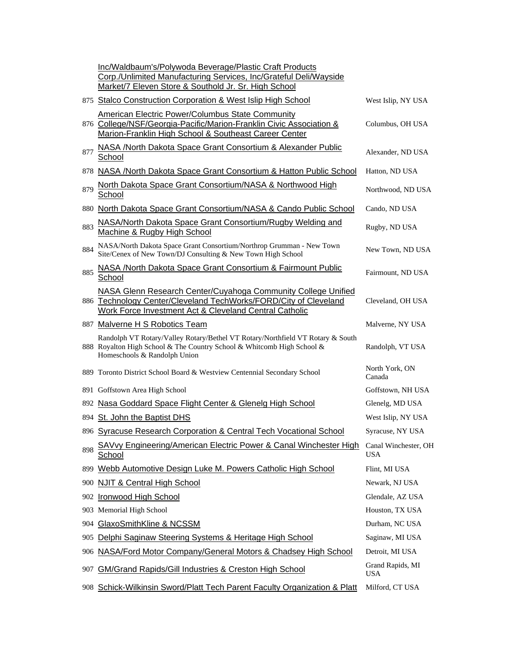|     | Inc/Waldbaum's/Polywoda Beverage/Plastic Craft Products<br>Corp./Unlimited Manufacturing Services, Inc/Grateful Deli/Wayside<br>Market/7 Eleven Store & Southold Jr. Sr. High School        |                                |
|-----|---------------------------------------------------------------------------------------------------------------------------------------------------------------------------------------------|--------------------------------|
|     | 875 Stalco Construction Corporation & West Islip High School                                                                                                                                | West Islip, NY USA             |
|     | <b>American Electric Power/Columbus State Community</b><br>876 College/NSF/Georgia-Pacific/Marion-Franklin Civic Association &<br>Marion-Franklin High School & Southeast Career Center     | Columbus, OH USA               |
| 877 | NASA /North Dakota Space Grant Consortium & Alexander Public<br>School                                                                                                                      | Alexander, ND USA              |
|     | 878 NASA / North Dakota Space Grant Consortium & Hatton Public School                                                                                                                       | Hatton, ND USA                 |
| 879 | North Dakota Space Grant Consortium/NASA & Northwood High<br>School                                                                                                                         | Northwood, ND USA              |
| 880 | North Dakota Space Grant Consortium/NASA & Cando Public School                                                                                                                              | Cando, ND USA                  |
| 883 | NASA/North Dakota Space Grant Consortium/Rugby Welding and<br>Machine & Rugby High School                                                                                                   | Rugby, ND USA                  |
| 884 | NASA/North Dakota Space Grant Consortium/Northrop Grumman - New Town<br>Site/Cenex of New Town/DJ Consulting & New Town High School                                                         | New Town, ND USA               |
| 885 | NASA /North Dakota Space Grant Consortium & Fairmount Public<br>School                                                                                                                      | Fairmount, ND USA              |
|     | NASA Glenn Research Center/Cuyahoga Community College Unified<br>886 Technology Center/Cleveland TechWorks/FORD/City of Cleveland<br>Work Force Investment Act & Cleveland Central Catholic | Cleveland, OH USA              |
|     | 887 Malverne H S Robotics Team                                                                                                                                                              | Malverne, NY USA               |
|     | Randolph VT Rotary/Valley Rotary/Bethel VT Rotary/Northfield VT Rotary & South<br>888 Royalton High School & The Country School & Whitcomb High School &<br>Homeschools & Randolph Union    | Randolph, VT USA               |
|     | 889 Toronto District School Board & Westview Centennial Secondary School                                                                                                                    | North York, ON<br>Canada       |
|     | 891 Goffstown Area High School                                                                                                                                                              | Goffstown, NH USA              |
|     | 892 Nasa Goddard Space Flight Center & Glenelg High School                                                                                                                                  | Glenelg, MD USA                |
|     | 894 St. John the Baptist DHS                                                                                                                                                                | West Islip, NY USA             |
|     | 896 Syracuse Research Corporation & Central Tech Vocational School                                                                                                                          | Syracuse, NY USA               |
| 898 | SAVvy Engineering/American Electric Power & Canal Winchester High<br>School                                                                                                                 | Canal Winchester, OH<br>USA    |
| 899 | Webb Automotive Design Luke M. Powers Catholic High School                                                                                                                                  | Flint, MI USA                  |
| 900 | <b>NJIT &amp; Central High School</b>                                                                                                                                                       | Newark, NJ USA                 |
| 902 | <b>Ironwood High School</b>                                                                                                                                                                 | Glendale, AZ USA               |
|     | 903 Memorial High School                                                                                                                                                                    | Houston, TX USA                |
| 904 | GlaxoSmithKline & NCSSM                                                                                                                                                                     | Durham, NC USA                 |
| 905 | Delphi Saginaw Steering Systems & Heritage High School                                                                                                                                      | Saginaw, MI USA                |
| 906 | NASA/Ford Motor Company/General Motors & Chadsey High School                                                                                                                                | Detroit, MI USA                |
| 907 | <b>GM/Grand Rapids/Gill Industries &amp; Creston High School</b>                                                                                                                            | Grand Rapids, MI<br><b>USA</b> |
|     | 908 Schick-Wilkinsin Sword/Platt Tech Parent Faculty Organization & Platt                                                                                                                   | Milford, CT USA                |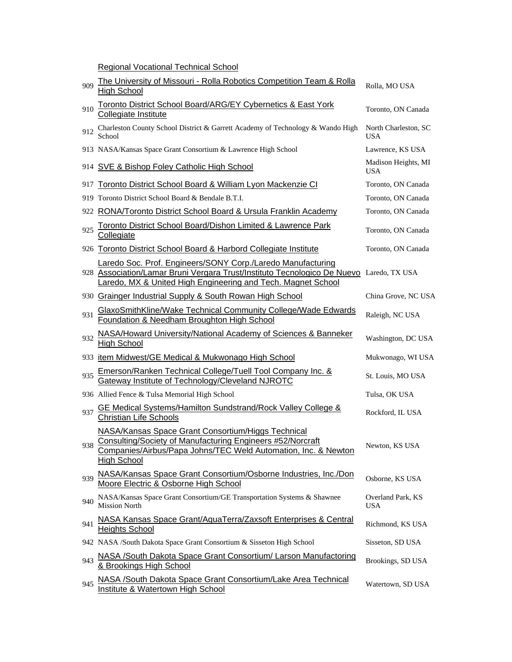Regional Vocational Technical School

| 909 | The University of Missouri - Rolla Robotics Competition Team & Rolla<br><b>High School</b>                                                                                                                             | Rolla, MO USA                      |
|-----|------------------------------------------------------------------------------------------------------------------------------------------------------------------------------------------------------------------------|------------------------------------|
| 910 | Toronto District School Board/ARG/EY Cybernetics & East York<br>Collegiate Institute                                                                                                                                   | Toronto, ON Canada                 |
| 912 | Charleston County School District & Garrett Academy of Technology & Wando High<br>School                                                                                                                               | North Charleston, SC<br><b>USA</b> |
|     | 913 NASA/Kansas Space Grant Consortium & Lawrence High School                                                                                                                                                          | Lawrence, KS USA                   |
|     | 914 SVE & Bishop Foley Catholic High School                                                                                                                                                                            | Madison Heights, MI<br><b>USA</b>  |
| 917 | Toronto District School Board & William Lyon Mackenzie CI                                                                                                                                                              | Toronto, ON Canada                 |
|     | 919 Toronto District School Board & Bendale B.T.I.                                                                                                                                                                     | Toronto, ON Canada                 |
|     | 922 RONA/Toronto District School Board & Ursula Franklin Academy                                                                                                                                                       | Toronto, ON Canada                 |
| 925 | Toronto District School Board/Dishon Limited & Lawrence Park<br>Collegiate                                                                                                                                             | Toronto, ON Canada                 |
|     | 926 Toronto District School Board & Harbord Collegiate Institute                                                                                                                                                       | Toronto, ON Canada                 |
|     | Laredo Soc. Prof. Engineers/SONY Corp./Laredo Manufacturing<br>928 Association/Lamar Bruni Vergara Trust/Instituto Tecnologico De Nuevo Laredo, TX USA<br>Laredo, MX & United High Engineering and Tech. Magnet School |                                    |
|     | 930 Grainger Industrial Supply & South Rowan High School                                                                                                                                                               | China Grove, NC USA                |
| 931 | GlaxoSmithKline/Wake Technical Community College/Wade Edwards<br>Foundation & Needham Broughton High School                                                                                                            | Raleigh, NC USA                    |
| 932 | NASA/Howard University/National Academy of Sciences & Banneker<br><b>High School</b>                                                                                                                                   | Washington, DC USA                 |
|     | 933 item Midwest/GE Medical & Mukwonago High School                                                                                                                                                                    | Mukwonago, WI USA                  |
| 935 | Emerson/Ranken Technical College/Tuell Tool Company Inc. & Gateway Institute of Technology/Cleveland NJROTC                                                                                                            | St. Louis, MO USA                  |
|     | 936 Allied Fence & Tulsa Memorial High School                                                                                                                                                                          | Tulsa, OK USA                      |
| 937 | GE Medical Systems/Hamilton Sundstrand/Rock Valley College &<br><b>Christian Life Schools</b>                                                                                                                          | Rockford, IL USA                   |
| 938 | NASA/Kansas Space Grant Consortium/Higgs Technical<br>Consulting/Society of Manufacturing Engineers #52/Norcraft<br>Companies/Airbus/Papa Johns/TEC Weld Automation, Inc. & Newton<br><b>High School</b>               | Newton, KS USA                     |
| 939 | NASA/Kansas Space Grant Consortium/Osborne Industries, Inc./Don<br>Moore Electric & Osborne High School                                                                                                                | Osborne, KS USA                    |
| 940 | NASA/Kansas Space Grant Consortium/GE Transportation Systems & Shawnee<br><b>Mission North</b>                                                                                                                         | Overland Park, KS<br><b>USA</b>    |
| 941 | NASA Kansas Space Grant/AquaTerra/Zaxsoft Enterprises & Central<br><b>Heights School</b>                                                                                                                               | Richmond, KS USA                   |
|     | 942 NASA /South Dakota Space Grant Consortium & Sisseton High School                                                                                                                                                   | Sisseton, SD USA                   |
| 943 | NASA /South Dakota Space Grant Consortium/ Larson Manufactoring<br>& Brookings High School                                                                                                                             | Brookings, SD USA                  |
| 945 | NASA /South Dakota Space Grant Consortium/Lake Area Technical<br><b>Institute &amp; Watertown High School</b>                                                                                                          | Watertown, SD USA                  |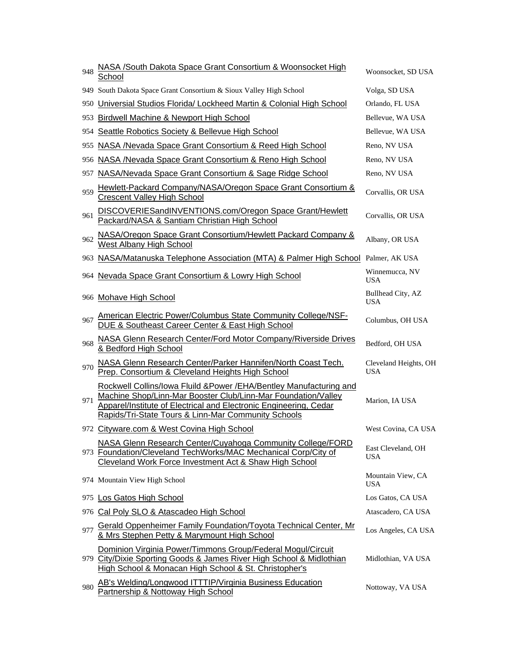| 948 | NASA /South Dakota Space Grant Consortium & Woonsocket High<br>School                                                                                                                                                                                             | Woonsocket, SD USA                  |
|-----|-------------------------------------------------------------------------------------------------------------------------------------------------------------------------------------------------------------------------------------------------------------------|-------------------------------------|
|     | 949 South Dakota Space Grant Consortium & Sioux Valley High School                                                                                                                                                                                                | Volga, SD USA                       |
|     | 950 Universial Studios Florida/ Lockheed Martin & Colonial High School                                                                                                                                                                                            | Orlando, FL USA                     |
|     | 953 Birdwell Machine & Newport High School                                                                                                                                                                                                                        | Bellevue, WA USA                    |
| 954 | Seattle Robotics Society & Bellevue High School                                                                                                                                                                                                                   | Bellevue, WA USA                    |
| 955 | NASA /Nevada Space Grant Consortium & Reed High School                                                                                                                                                                                                            | Reno, NV USA                        |
|     | 956 NASA /Nevada Space Grant Consortium & Reno High School                                                                                                                                                                                                        | Reno, NV USA                        |
|     | 957 NASA/Nevada Space Grant Consortium & Sage Ridge School                                                                                                                                                                                                        | Reno, NV USA                        |
| 959 | Hewlett-Packard Company/NASA/Oregon Space Grant Consortium &<br><b>Crescent Valley High School</b>                                                                                                                                                                | Corvallis, OR USA                   |
| 961 | DISCOVERIESandINVENTIONS.com/Oregon Space Grant/Hewlett<br>Packard/NASA & Santiam Christian High School                                                                                                                                                           | Corvallis, OR USA                   |
| 962 | NASA/Oregon Space Grant Consortium/Hewlett Packard Company &<br><b>West Albany High School</b>                                                                                                                                                                    | Albany, OR USA                      |
|     | 963 NASA/Matanuska Telephone Association (MTA) & Palmer High School Palmer, AK USA                                                                                                                                                                                |                                     |
|     | 964 Nevada Space Grant Consortium & Lowry High School                                                                                                                                                                                                             | Winnemucca, NV<br><b>USA</b>        |
|     | 966 Mohave High School                                                                                                                                                                                                                                            | Bullhead City, AZ<br><b>USA</b>     |
| 967 | American Electric Power/Columbus State Community College/NSF-<br>DUE & Southeast Career Center & East High School                                                                                                                                                 | Columbus, OH USA                    |
| 968 | NASA Glenn Research Center/Ford Motor Company/Riverside Drives<br>& Bedford High School                                                                                                                                                                           | Bedford, OH USA                     |
| 970 | NASA Glenn Research Center/Parker Hannifen/North Coast Tech.<br>Prep. Consortium & Cleveland Heights High School                                                                                                                                                  | Cleveland Heights, OH<br><b>USA</b> |
| 971 | Rockwell Collins/Iowa Fluild & Power / EHA/Bentley Manufacturing and<br>Machine Shop/Linn-Mar Booster Club/Linn-Mar Foundation/Valley<br>Apparel/Institute of Electrical and Electronic Engineering, Cedar<br>Rapids/Tri-State Tours & Linn-Mar Community Schools | Marion, IA USA                      |
|     | 972 Cityware.com & West Covina High School                                                                                                                                                                                                                        | West Covina, CA USA                 |
|     | NASA Glenn Research Center/Cuyahoga Community College/FORD<br>973 Foundation/Cleveland TechWorks/MAC Mechanical Corp/City of<br>Cleveland Work Force Investment Act & Shaw High School                                                                            | East Cleveland, OH<br><b>USA</b>    |
|     | 974 Mountain View High School                                                                                                                                                                                                                                     | Mountain View, CA<br><b>USA</b>     |
|     | 975 Los Gatos High School                                                                                                                                                                                                                                         | Los Gatos, CA USA                   |
|     | 976 Cal Poly SLO & Atascadeo High School                                                                                                                                                                                                                          | Atascadero, CA USA                  |
| 977 | Gerald Oppenheimer Family Foundation/Toyota Technical Center, Mr<br>& Mrs Stephen Petty & Marymount High School                                                                                                                                                   | Los Angeles, CA USA                 |
|     | Dominion Virginia Power/Timmons Group/Federal Mogul/Circuit<br>979 City/Dixie Sporting Goods & James River High School & Midlothian<br>High School & Monacan High School & St. Christopher's                                                                      | Midlothian, VA USA                  |
| 980 | AB's Welding/Longwood ITTTIP/Virginia Business Education<br>Partnership & Nottoway High School                                                                                                                                                                    | Nottoway, VA USA                    |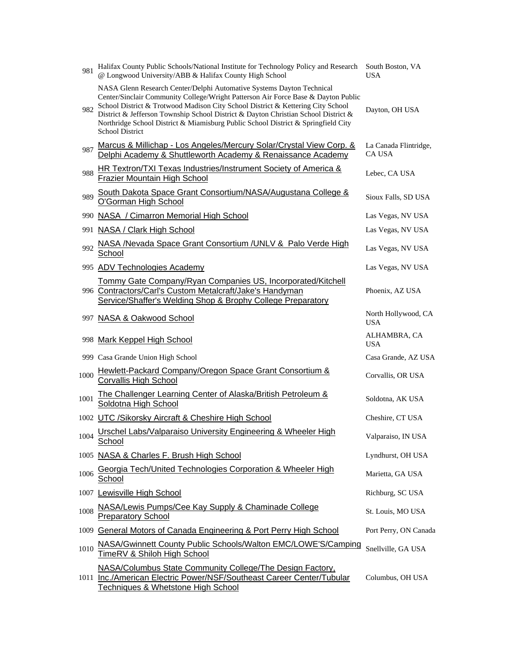| 981  | Halifax County Public Schools/National Institute for Technology Policy and Research South Boston, VA<br>@ Longwood University/ABB & Halifax County High School                                                                                                                                                                                                                                                                                     | <b>USA</b>                             |
|------|----------------------------------------------------------------------------------------------------------------------------------------------------------------------------------------------------------------------------------------------------------------------------------------------------------------------------------------------------------------------------------------------------------------------------------------------------|----------------------------------------|
| 982  | NASA Glenn Research Center/Delphi Automative Systems Dayton Technical<br>Center/Sinclair Community College/Wright Patterson Air Force Base & Dayton Public<br>School District & Trotwood Madison City School District & Kettering City School<br>District & Jefferson Township School District & Dayton Christian School District &<br>Northridge School District & Miamisburg Public School District & Springfield City<br><b>School District</b> | Dayton, OH USA                         |
| 987  | Marcus & Millichap - Los Angeles/Mercury Solar/Crystal View Corp. &<br>Delphi Academy & Shuttleworth Academy & Renaissance Academy                                                                                                                                                                                                                                                                                                                 | La Canada Flintridge,<br><b>CA USA</b> |
| 988  | HR Textron/TXI Texas Industries/Instrument Society of America &<br>Frazier Mountain High School                                                                                                                                                                                                                                                                                                                                                    | Lebec, CA USA                          |
| 989  | South Dakota Space Grant Consortium/NASA/Augustana College &<br>O'Gorman High School                                                                                                                                                                                                                                                                                                                                                               | Sioux Falls, SD USA                    |
|      | 990 NASA / Cimarron Memorial High School                                                                                                                                                                                                                                                                                                                                                                                                           | Las Vegas, NV USA                      |
| 991  | NASA / Clark High School                                                                                                                                                                                                                                                                                                                                                                                                                           | Las Vegas, NV USA                      |
| 992  | NASA /Nevada Space Grant Consortium /UNLV & Palo Verde High<br>School                                                                                                                                                                                                                                                                                                                                                                              | Las Vegas, NV USA                      |
|      | 995 ADV Technologies Academy                                                                                                                                                                                                                                                                                                                                                                                                                       | Las Vegas, NV USA                      |
|      | Tommy Gate Company/Ryan Companies US, Incorporated/Kitchell<br>996 Contractors/Carl's Custom Metalcraft/Jake's Handyman<br>Service/Shaffer's Welding Shop & Brophy College Preparatory                                                                                                                                                                                                                                                             | Phoenix, AZ USA                        |
|      | 997 NASA & Oakwood School                                                                                                                                                                                                                                                                                                                                                                                                                          | North Hollywood, CA<br><b>USA</b>      |
|      | 998 Mark Keppel High School                                                                                                                                                                                                                                                                                                                                                                                                                        | ALHAMBRA, CA<br><b>USA</b>             |
|      | 999 Casa Grande Union High School                                                                                                                                                                                                                                                                                                                                                                                                                  | Casa Grande, AZ USA                    |
| 1000 | Hewlett-Packard Company/Oregon Space Grant Consortium &<br><b>Corvallis High School</b>                                                                                                                                                                                                                                                                                                                                                            | Corvallis, OR USA                      |
| 1001 | The Challenger Learning Center of Alaska/British Petroleum &<br>Soldotna High School                                                                                                                                                                                                                                                                                                                                                               | Soldotna, AK USA                       |
|      | 1002 UTC /Sikorsky Aircraft & Cheshire High School                                                                                                                                                                                                                                                                                                                                                                                                 | Cheshire, CT USA                       |
|      | 1004 Urschel Labs/Valparaiso University Engineering & Wheeler High<br>School                                                                                                                                                                                                                                                                                                                                                                       | Valparaiso, IN USA                     |
|      | 1005 NASA & Charles F. Brush High School                                                                                                                                                                                                                                                                                                                                                                                                           | Lyndhurst, OH USA                      |
| 1006 | Georgia Tech/United Technologies Corporation & Wheeler High<br><u>School</u>                                                                                                                                                                                                                                                                                                                                                                       | Marietta, GA USA                       |
|      | 1007 Lewisville High School                                                                                                                                                                                                                                                                                                                                                                                                                        | Richburg, SC USA                       |
| 1008 | NASA/Lewis Pumps/Cee Kay Supply & Chaminade College<br><b>Preparatory School</b>                                                                                                                                                                                                                                                                                                                                                                   | St. Louis, MO USA                      |
|      | 1009 General Motors of Canada Engineering & Port Perry High School                                                                                                                                                                                                                                                                                                                                                                                 | Port Perry, ON Canada                  |
| 1010 | NASA/Gwinnett County Public Schools/Walton EMC/LOWE'S/Camping<br>TimeRV & Shiloh High School                                                                                                                                                                                                                                                                                                                                                       | Snellville, GA USA                     |
|      | NASA/Columbus State Community College/The Design Factory,<br>1011 Inc./American Electric Power/NSF/Southeast Career Center/Tubular<br>Techniques & Whetstone High School                                                                                                                                                                                                                                                                           | Columbus, OH USA                       |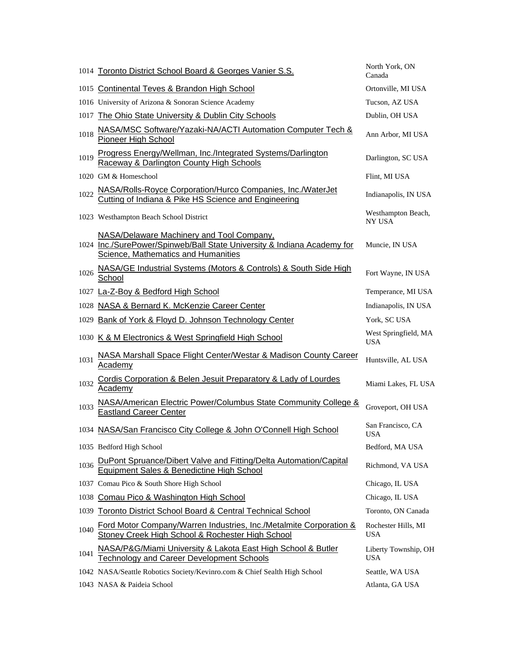|      | 1014 Toronto District School Board & Georges Vanier S.S.                                                                                                    | North York, ON<br>Canada           |
|------|-------------------------------------------------------------------------------------------------------------------------------------------------------------|------------------------------------|
|      | 1015 Continental Teves & Brandon High School                                                                                                                | Ortonville, MI USA                 |
|      | 1016 University of Arizona & Sonoran Science Academy                                                                                                        | Tucson, AZ USA                     |
| 1017 | The Ohio State University & Dublin City Schools                                                                                                             | Dublin, OH USA                     |
| 1018 | NASA/MSC Software/Yazaki-NA/ACTI Automation Computer Tech &<br>Pioneer High School                                                                          | Ann Arbor, MI USA                  |
| 1019 | Progress Energy/Wellman, Inc./Integrated Systems/Darlington<br>Raceway & Darlington County High Schools                                                     | Darlington, SC USA                 |
|      | 1020 GM & Homeschool                                                                                                                                        | Flint, MI USA                      |
| 1022 | NASA/Rolls-Royce Corporation/Hurco Companies, Inc./WaterJet<br>Cutting of Indiana & Pike HS Science and Engineering                                         | Indianapolis, IN USA               |
|      | 1023 Westhampton Beach School District                                                                                                                      | Westhampton Beach,<br>NY USA       |
|      | NASA/Delaware Machinery and Tool Company,<br>1024 Inc./SurePower/Spinweb/Ball State University & Indiana Academy for<br>Science, Mathematics and Humanities | Muncie, IN USA                     |
| 1026 | NASA/GE Industrial Systems (Motors & Controls) & South Side High<br>School                                                                                  | Fort Wayne, IN USA                 |
|      | 1027 La-Z-Boy & Bedford High School                                                                                                                         | Temperance, MI USA                 |
|      | 1028 NASA & Bernard K. McKenzie Career Center                                                                                                               | Indianapolis, IN USA               |
|      | 1029 Bank of York & Floyd D. Johnson Technology Center                                                                                                      | York, SC USA                       |
|      |                                                                                                                                                             |                                    |
|      | 1030 K & M Electronics & West Springfield High School                                                                                                       | West Springfield, MA<br><b>USA</b> |
| 1031 | <b>NASA Marshall Space Flight Center/Westar &amp; Madison County Career</b><br><b>Academy</b>                                                               | Huntsville, AL USA                 |
| 1032 | Cordis Corporation & Belen Jesuit Preparatory & Lady of Lourdes<br><b>Academy</b>                                                                           | Miami Lakes, FL USA                |
| 1033 | NASA/American Electric Power/Columbus State Community College &<br><b>Eastland Career Center</b>                                                            | Groveport, OH USA                  |
|      | 1034 NASA/San Francisco City College & John O'Connell High School                                                                                           | San Francisco, CA<br><b>USA</b>    |
|      | 1035 Bedford High School                                                                                                                                    | Bedford, MA USA                    |
| 1036 | DuPont Spruance/Dibert Valve and Fitting/Delta Automation/Capital<br>Equipment Sales & Benedictine High School                                              | Richmond, VA USA                   |
|      | 1037 Comau Pico & South Shore High School                                                                                                                   | Chicago, IL USA                    |
| 1038 | Comau Pico & Washington High School                                                                                                                         | Chicago, IL USA                    |
|      | 1039 Toronto District School Board & Central Technical School                                                                                               | Toronto, ON Canada                 |
| 1040 | Ford Motor Company/Warren Industries, Inc./Metalmite Corporation &<br>Stoney Creek High School & Rochester High School                                      | Rochester Hills, MI<br><b>USA</b>  |
| 1041 | NASA/P&G/Miami University & Lakota East High School & Butler<br><b>Technology and Career Development Schools</b>                                            | Liberty Township, OH<br>USA        |
|      | 1042 NASA/Seattle Robotics Society/Kevinro.com & Chief Sealth High School                                                                                   | Seattle, WA USA                    |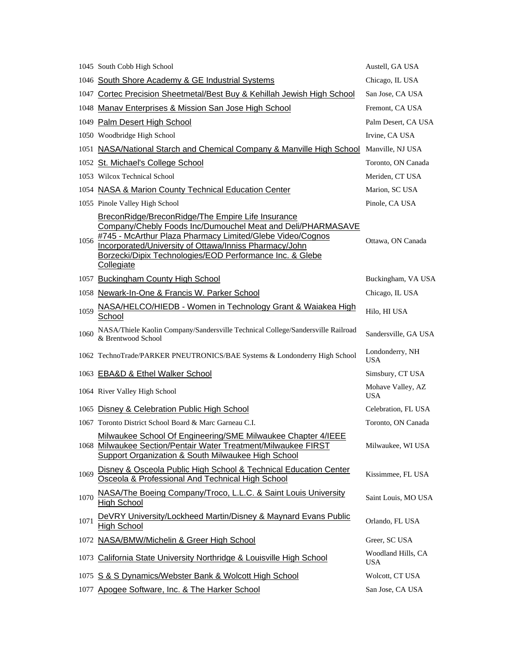|      | 1045 South Cobb High School                                                                                                                                                                                                                                                                                       | Austell, GA USA                  |
|------|-------------------------------------------------------------------------------------------------------------------------------------------------------------------------------------------------------------------------------------------------------------------------------------------------------------------|----------------------------------|
|      | 1046 South Shore Academy & GE Industrial Systems                                                                                                                                                                                                                                                                  | Chicago, IL USA                  |
|      | 1047 Cortec Precision Sheetmetal/Best Buy & Kehillah Jewish High School                                                                                                                                                                                                                                           | San Jose, CA USA                 |
|      | 1048 Manav Enterprises & Mission San Jose High School                                                                                                                                                                                                                                                             | Fremont, CA USA                  |
|      | 1049 Palm Desert High School                                                                                                                                                                                                                                                                                      | Palm Desert, CA USA              |
|      | 1050 Woodbridge High School                                                                                                                                                                                                                                                                                       | Irvine, CA USA                   |
|      | 1051 NASA/National Starch and Chemical Company & Manville High School                                                                                                                                                                                                                                             | Manville, NJ USA                 |
|      | 1052 St. Michael's College School                                                                                                                                                                                                                                                                                 | Toronto, ON Canada               |
|      | 1053 Wilcox Technical School                                                                                                                                                                                                                                                                                      | Meriden, CT USA                  |
|      | 1054 NASA & Marion County Technical Education Center                                                                                                                                                                                                                                                              | Marion, SC USA                   |
|      | 1055 Pinole Valley High School                                                                                                                                                                                                                                                                                    | Pinole, CA USA                   |
| 1056 | BreconRidge/BreconRidge/The Empire Life Insurance<br>Company/Chebly Foods Inc/Dumouchel Meat and Deli/PHARMASAVE<br>#745 - McArthur Plaza Pharmacy Limited/Glebe Video/Cognos<br>Incorporated/University of Ottawa/Inniss Pharmacy/John<br>Borzecki/Dipix Technologies/EOD Performance Inc. & Glebe<br>Collegiate | Ottawa, ON Canada                |
|      | 1057 Buckingham County High School                                                                                                                                                                                                                                                                                | Buckingham, VA USA               |
|      | 1058 Newark-In-One & Francis W. Parker School                                                                                                                                                                                                                                                                     | Chicago, IL USA                  |
| 1059 | NASA/HELCO/HIEDB - Women in Technology Grant & Waiakea High<br>School                                                                                                                                                                                                                                             | Hilo, HI USA                     |
| 1060 | NASA/Thiele Kaolin Company/Sandersville Technical College/Sandersville Railroad<br>& Brentwood School                                                                                                                                                                                                             | Sandersville, GA USA             |
|      | 1062 TechnoTrade/PARKER PNEUTRONICS/BAE Systems & Londonderry High School                                                                                                                                                                                                                                         | Londonderry, NH<br><b>USA</b>    |
|      | 1063 EBA&D & Ethel Walker School                                                                                                                                                                                                                                                                                  | Simsbury, CT USA                 |
|      | 1064 River Valley High School                                                                                                                                                                                                                                                                                     | Mohave Valley, AZ<br><b>USA</b>  |
|      | 1065 Disney & Celebration Public High School                                                                                                                                                                                                                                                                      | Celebration, FL USA              |
|      | 1067 Toronto District School Board & Marc Garneau C.I.                                                                                                                                                                                                                                                            | Toronto, ON Canada               |
|      | Milwaukee School Of Engineering/SME Milwaukee Chapter 4/IEEE<br>1068 Milwaukee Section/Pentair Water Treatment/Milwaukee FIRST<br><b>Support Organization &amp; South Milwaukee High School</b>                                                                                                                   | Milwaukee, WI USA                |
| 1069 | Disney & Osceola Public High School & Technical Education Center<br>Osceola & Professional And Technical High School                                                                                                                                                                                              | Kissimmee, FL USA                |
| 1070 | NASA/The Boeing Company/Troco, L.L.C. & Saint Louis University<br><b>High School</b>                                                                                                                                                                                                                              | Saint Louis, MO USA              |
| 1071 | DeVRY University/Lockheed Martin/Disney & Maynard Evans Public<br><b>High School</b>                                                                                                                                                                                                                              | Orlando, FL USA                  |
|      | 1072 NASA/BMW/Michelin & Greer High School                                                                                                                                                                                                                                                                        | Greer, SC USA                    |
|      | 1073 California State University Northridge & Louisville High School                                                                                                                                                                                                                                              | Woodland Hills, CA<br><b>USA</b> |
|      | 1075 S & S Dynamics/Webster Bank & Wolcott High School                                                                                                                                                                                                                                                            | Wolcott, CT USA                  |
| 1077 | Apogee Software, Inc. & The Harker School                                                                                                                                                                                                                                                                         | San Jose, CA USA                 |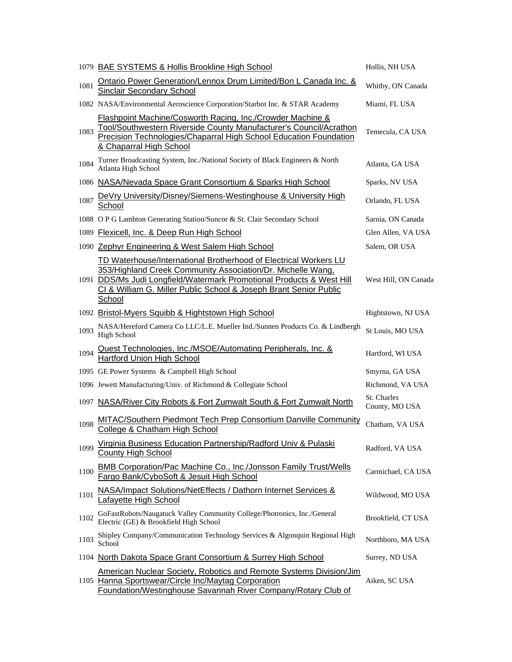|      | 1079 BAE SYSTEMS & Hollis Brookline High School                                                                                                                                                                                                                                         | Hollis, NH USA                |
|------|-----------------------------------------------------------------------------------------------------------------------------------------------------------------------------------------------------------------------------------------------------------------------------------------|-------------------------------|
| 1081 | Ontario Power Generation/Lennox Drum Limited/Bon L Canada Inc. &<br><b>Sinclair Secondary School</b>                                                                                                                                                                                    | Whitby, ON Canada             |
|      | 1082 NASA/Environmental Aeroscience Corporation/Starbot Inc. & STAR Academy                                                                                                                                                                                                             | Miami, FL USA                 |
| 1083 | Flashpoint Machine/Cosworth Racing, Inc./Crowder Machine &<br>Tool/Southwestern Riverside County Manufacturer's Council/Acrathon<br>Precision Technologies/Chaparral High School Education Foundation<br>& Chaparral High School                                                        | Temecula, CA USA              |
| 1084 | Turner Broadcasting System, Inc./National Society of Black Engineers & North<br>Atlanta High School                                                                                                                                                                                     | Atlanta, GA USA               |
|      | 1086 NASA/Nevada Space Grant Consortium & Sparks High School                                                                                                                                                                                                                            | Sparks, NV USA                |
| 1087 | DeVry University/Disney/Siemens-Westinghouse & University High<br>School                                                                                                                                                                                                                | Orlando, FL USA               |
|      | 1088 O P G Lambton Generating Station/Suncor & St. Clair Secondary School                                                                                                                                                                                                               | Sarnia, ON Canada             |
|      | 1089 Flexicell, Inc. & Deep Run High School                                                                                                                                                                                                                                             | Glen Allen, VA USA            |
|      | 1090 Zephyr Engineering & West Salem High School                                                                                                                                                                                                                                        | Salem, OR USA                 |
|      | TD Waterhouse/International Brotherhood of Electrical Workers LU<br>353/Highland Creek Community Association/Dr. Michelle Wang,<br>1091 DDS/Ms Judi Longfield/Watermark Promotional Products & West Hill<br>CI & William G. Miller Public School & Joseph Brant Senior Public<br>School | West Hill, ON Canada          |
|      | 1092 Bristol-Myers Squibb & Hightstown High School                                                                                                                                                                                                                                      | Hightstown, NJ USA            |
| 1093 | NASA/Hereford Camera Co LLC/L.E. Mueller Ind./Sunnen Products Co. & Lindbergh<br><b>High School</b>                                                                                                                                                                                     | St Louis, MO USA              |
| 1094 | Quest Technologies, Inc./MSOE/Automating Peripherals, Inc. &<br>Hartford Union High School                                                                                                                                                                                              | Hartford, WI USA              |
|      | 1095 GE Power Systems & Campbell High School                                                                                                                                                                                                                                            | Smyrna, GA USA                |
|      | 1096 Jewett Manufacturing/Univ. of Richmond & Collegiate School                                                                                                                                                                                                                         | Richmond, VA USA              |
|      | 1097 NASA/River City Robots & Fort Zumwalt South & Fort Zumwalt North                                                                                                                                                                                                                   | St. Charles<br>County, MO USA |
| 1098 | MITAC/Southern Piedmont Tech Prep Consortium Danville Community<br>College & Chatham High School                                                                                                                                                                                        | Chatham, VA USA               |
| 1099 | Virginia Business Education Partnership/Radford Univ & Pulaski<br><b>County High School</b>                                                                                                                                                                                             | Radford, VA USA               |
| 1100 | <b>BMB Corporation/Pac Machine Co., Inc./Jonsson Family Trust/Wells</b><br>Fargo Bank/CyboSoft & Jesuit High School                                                                                                                                                                     | Carmichael, CA USA            |
| 1101 | NASA/Impact Solutions/NetEffects / Dathorn Internet Services &<br>Lafayette High School                                                                                                                                                                                                 | Wildwood, MO USA              |
| 1102 | GoFastRobots/Naugatuck Valley Community College/Photronics, Inc./General<br>Electric (GE) & Brookfield High School                                                                                                                                                                      | Brookfield, CT USA            |
| 1103 | Shipley Company/Communication Technology Services & Algonquin Regional High<br>School                                                                                                                                                                                                   | Northboro, MA USA             |
|      | 1104 North Dakota Space Grant Consortium & Surrey High School                                                                                                                                                                                                                           | Surrey, ND USA                |
|      | <b>American Nuclear Society, Robotics and Remote Systems Division/Jim</b><br>1105 Hanna Sportswear/Circle Inc/Maytag Corporation<br>Foundation/Westinghouse Savannah River Company/Rotary Club of                                                                                       | Aiken, SC USA                 |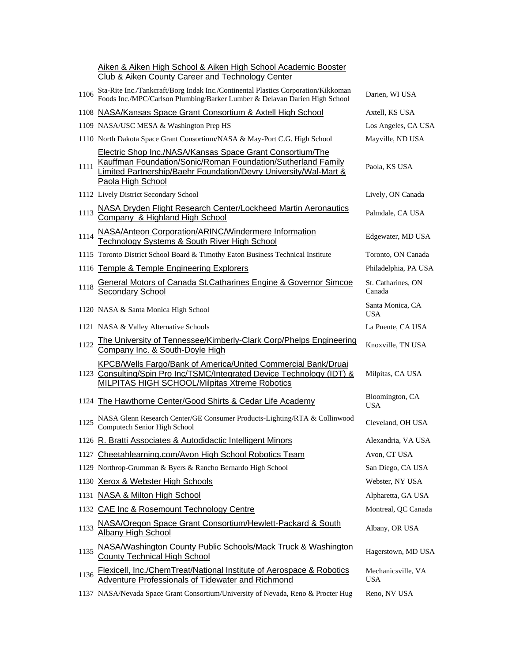|      | Aiken & Aiken High School & Aiken High School Academic Booster<br>Club & Aiken County Career and Technology Center                                                                                                 |                                  |
|------|--------------------------------------------------------------------------------------------------------------------------------------------------------------------------------------------------------------------|----------------------------------|
| 1106 | Sta-Rite Inc./Tankcraft/Borg Indak Inc./Continental Plastics Corporation/Kikkoman<br>Foods Inc./MPC/Carlson Plumbing/Barker Lumber & Delavan Darien High School                                                    | Darien, WI USA                   |
|      | 1108 NASA/Kansas Space Grant Consortium & Axtell High School                                                                                                                                                       | Axtell, KS USA                   |
|      | 1109 NASA/USC MESA & Washington Prep HS                                                                                                                                                                            | Los Angeles, CA USA              |
|      | 1110 North Dakota Space Grant Consortium/NASA & May-Port C.G. High School                                                                                                                                          | Mayville, ND USA                 |
| 1111 | Electric Shop Inc./NASA/Kansas Space Grant Consortium/The<br>Kauffman Foundation/Sonic/Roman Foundation/Sutherland Family<br>Limited Partnership/Baehr Foundation/Devry University/Wal-Mart &<br>Paola High School | Paola, KS USA                    |
|      | 1112 Lively District Secondary School                                                                                                                                                                              | Lively, ON Canada                |
| 1113 | NASA Dryden Flight Research Center/Lockheed Martin Aeronautics<br>Company & Highland High School                                                                                                                   | Palmdale, CA USA                 |
| 1114 | NASA/Anteon Corporation/ARINC/Windermere Information<br>Technology Systems & South River High School                                                                                                               | Edgewater, MD USA                |
|      | 1115 Toronto District School Board & Timothy Eaton Business Technical Institute                                                                                                                                    | Toronto, ON Canada               |
|      | 1116 Temple & Temple Engineering Explorers                                                                                                                                                                         | Philadelphia, PA USA             |
| 1118 | General Motors of Canada St. Catharines Engine & Governor Simcoe<br>Secondary School                                                                                                                               | St. Catharines, ON<br>Canada     |
|      | 1120 NASA & Santa Monica High School                                                                                                                                                                               | Santa Monica, CA<br><b>USA</b>   |
|      | 1121 NASA & Valley Alternative Schools                                                                                                                                                                             | La Puente, CA USA                |
| 1122 | The University of Tennessee/Kimberly-Clark Corp/Phelps Engineering<br>Company Inc. & South-Doyle High                                                                                                              | Knoxville, TN USA                |
|      | <b>KPCB/Wells Fargo/Bank of America/United Commercial Bank/Druai</b><br>1123 Consulting/Spin Pro Inc/TSMC/Integrated Device Technology (IDT) &<br><b>MILPITAS HIGH SCHOOL/Milpitas Xtreme Robotics</b>             | Milpitas, CA USA                 |
|      | 1124 The Hawthorne Center/Good Shirts & Cedar Life Academy                                                                                                                                                         | Bloomington, CA<br><b>USA</b>    |
| 1125 | NASA Glenn Research Center/GE Consumer Products-Lighting/RTA & Collinwood<br>Computech Senior High School                                                                                                          | Cleveland, OH USA                |
|      | 1126 R. Bratti Associates & Autodidactic Intelligent Minors                                                                                                                                                        | Alexandria, VA USA               |
| 1127 | Cheetahlearning.com/Avon High School Robotics Team                                                                                                                                                                 | Avon, CT USA                     |
|      | 1129 Northrop-Grumman & Byers & Rancho Bernardo High School                                                                                                                                                        | San Diego, CA USA                |
| 1130 | <b>Xerox &amp; Webster High Schools</b>                                                                                                                                                                            | Webster, NY USA                  |
|      | 1131 NASA & Milton High School                                                                                                                                                                                     | Alpharetta, GA USA               |
|      | 1132 CAE Inc & Rosemount Technology Centre                                                                                                                                                                         | Montreal, QC Canada              |
| 1133 | NASA/Oregon Space Grant Consortium/Hewlett-Packard & South<br><b>Albany High School</b>                                                                                                                            | Albany, OR USA                   |
| 1135 | NASA/Washington County Public Schools/Mack Truck & Washington<br><b>County Technical High School</b>                                                                                                               | Hagerstown, MD USA               |
| 1136 | Flexicell, Inc./ChemTreat/National Institute of Aerospace & Robotics<br>Adventure Professionals of Tidewater and Richmond                                                                                          | Mechanicsville, VA<br><b>USA</b> |
|      | 1137 NASA/Nevada Space Grant Consortium/University of Nevada, Reno & Procter Hug                                                                                                                                   | Reno, NV USA                     |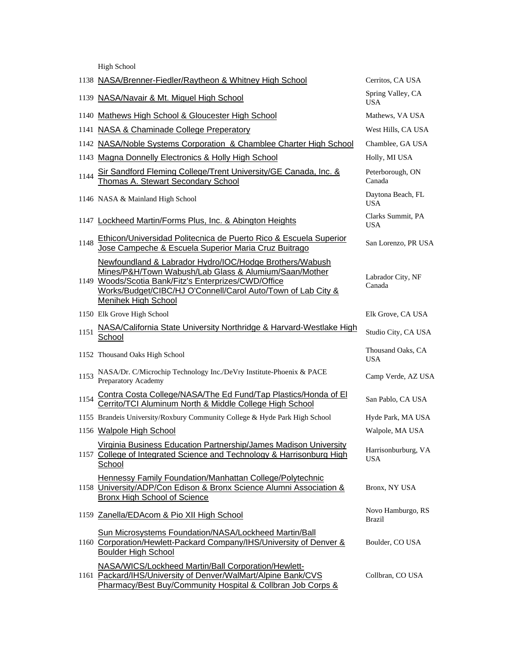High School

|      | 1138 NASA/Brenner-Fiedler/Raytheon & Whitney High School                                                                                                                                                                                                        | Cerritos, CA USA                  |
|------|-----------------------------------------------------------------------------------------------------------------------------------------------------------------------------------------------------------------------------------------------------------------|-----------------------------------|
| 1139 | NASA/Navair & Mt. Miguel High School                                                                                                                                                                                                                            | Spring Valley, CA<br><b>USA</b>   |
| 1140 | Mathews High School & Gloucester High School                                                                                                                                                                                                                    | Mathews, VA USA                   |
|      | 1141 NASA & Chaminade College Preperatory                                                                                                                                                                                                                       | West Hills, CA USA                |
|      | 1142 NASA/Noble Systems Corporation & Chamblee Charter High School                                                                                                                                                                                              | Chamblee, GA USA                  |
|      | 1143 Magna Donnelly Electronics & Holly High School                                                                                                                                                                                                             | Holly, MI USA                     |
| 1144 | Sir Sandford Fleming College/Trent University/GE Canada, Inc. &<br>Thomas A. Stewart Secondary School                                                                                                                                                           | Peterborough, ON<br>Canada        |
|      | 1146 NASA & Mainland High School                                                                                                                                                                                                                                | Daytona Beach, FL<br><b>USA</b>   |
|      | 1147 Lockheed Martin/Forms Plus, Inc. & Abington Heights                                                                                                                                                                                                        | Clarks Summit, PA<br><b>USA</b>   |
| 1148 | <b>Ethicon/Universidad Politecnica de Puerto Rico &amp; Escuela Superior</b><br>Jose Campeche & Escuela Superior Maria Cruz Buitrago                                                                                                                            | San Lorenzo, PR USA               |
|      | Newfoundland & Labrador Hydro/IOC/Hodge Brothers/Wabush<br>Mines/P&H/Town Wabush/Lab Glass & Alumium/Saan/Mother<br>1149 Woods/Scotia Bank/Fitz's Enterprizes/CWD/Office<br>Works/Budget/CIBC/HJ O'Connell/Carol Auto/Town of Lab City &<br>Menihek High School | Labrador City, NF<br>Canada       |
|      | 1150 Elk Grove High School                                                                                                                                                                                                                                      | Elk Grove, CA USA                 |
| 1151 | NASA/California State University Northridge & Harvard-Westlake High<br>School                                                                                                                                                                                   | Studio City, CA USA               |
|      | 1152 Thousand Oaks High School                                                                                                                                                                                                                                  | Thousand Oaks, CA<br><b>USA</b>   |
| 1153 | NASA/Dr. C/Microchip Technology Inc./DeVry Institute-Phoenix & PACE<br>Preparatory Academy                                                                                                                                                                      | Camp Verde, AZ USA                |
| 1154 | Contra Costa College/NASA/The Ed Fund/Tap Plastics/Honda of El<br>Cerrito/TCI Aluminum North & Middle College High School                                                                                                                                       | San Pablo, CA USA                 |
|      | 1155 Brandeis University/Roxbury Community College & Hyde Park High School                                                                                                                                                                                      | Hyde Park, MA USA                 |
|      | 1156 Walpole High School                                                                                                                                                                                                                                        | Walpole, MA USA                   |
|      | Virginia Business Education Partnership/James Madison University<br>1157 College of Integrated Science and Technology & Harrisonburg High<br>School                                                                                                             | Harrisonburburg, VA<br><b>USA</b> |
|      | Hennessy Family Foundation/Manhattan College/Polytechnic<br>1158 University/ADP/Con Edison & Bronx Science Alumni Association &<br><b>Bronx High School of Science</b>                                                                                          | Bronx, NY USA                     |
|      | 1159 Zanella/EDAcom & Pio XII High School                                                                                                                                                                                                                       | Novo Hamburgo, RS<br>Brazil       |
|      | Sun Microsystems Foundation/NASA/Lockheed Martin/Ball<br>1160 Corporation/Hewlett-Packard Company/IHS/University of Denver &<br><b>Boulder High School</b>                                                                                                      | Boulder, CO USA                   |
|      | NASA/WICS/Lockheed Martin/Ball Corporation/Hewlett-<br>1161 Packard/IHS/University of Denver/WalMart/Alpine Bank/CVS<br>Pharmacy/Best Buy/Community Hospital & Collbran Job Corps &                                                                             | Collbran, CO USA                  |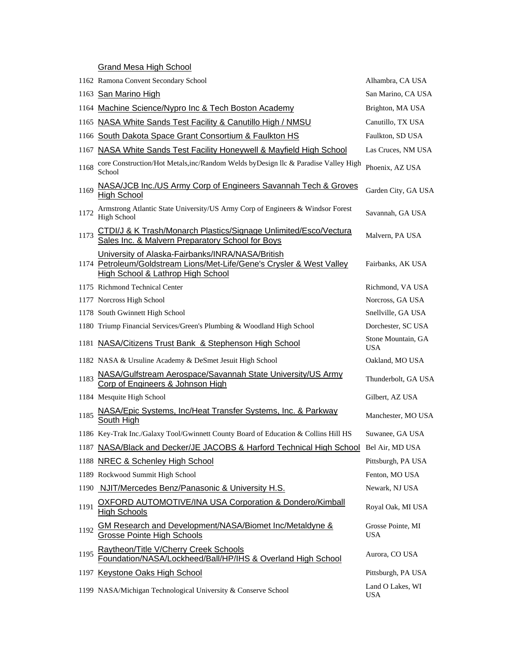Grand Mesa High School

|      | 1162 Ramona Convent Secondary School                                                                                                                                      | Alhambra, CA USA                 |
|------|---------------------------------------------------------------------------------------------------------------------------------------------------------------------------|----------------------------------|
|      | 1163 San Marino High                                                                                                                                                      | San Marino, CA USA               |
|      | 1164 Machine Science/Nypro Inc & Tech Boston Academy                                                                                                                      | Brighton, MA USA                 |
| 1165 | NASA White Sands Test Facility & Canutillo High / NMSU                                                                                                                    | Canutillo, TX USA                |
| 1166 | South Dakota Space Grant Consortium & Faulkton HS                                                                                                                         | Faulkton, SD USA                 |
| 1167 | NASA White Sands Test Facility Honeywell & Mayfield High School                                                                                                           | Las Cruces, NM USA               |
| 1168 | core Construction/Hot Metals, inc/Random Welds byDesign llc & Paradise Valley High<br>School                                                                              | Phoenix, AZ USA                  |
| 1169 | NASA/JCB Inc./US Army Corp of Engineers Savannah Tech & Groves<br><b>High School</b>                                                                                      | Garden City, GA USA              |
| 1172 | Armstrong Atlantic State University/US Army Corp of Engineers & Windsor Forest<br>High School                                                                             | Savannah, GA USA                 |
| 1173 | CTDI/J & K Trash/Monarch Plastics/Signage Unlimited/Esco/Vectura<br>Sales Inc. & Malvern Preparatory School for Boys                                                      | Malvern, PA USA                  |
|      | University of Alaska-Fairbanks/INRA/NASA/British<br>1174 Petroleum/Goldstream Lions/Met-Life/Gene's Crysler & West Valley<br><b>High School &amp; Lathrop High School</b> | Fairbanks, AK USA                |
|      | 1175 Richmond Technical Center                                                                                                                                            | Richmond, VA USA                 |
|      | 1177 Norcross High School                                                                                                                                                 | Norcross, GA USA                 |
|      | 1178 South Gwinnett High School                                                                                                                                           | Snellville, GA USA               |
|      | 1180 Triump Financial Services/Green's Plumbing & Woodland High School                                                                                                    | Dorchester, SC USA               |
|      | 1181 NASA/Citizens Trust Bank & Stephenson High School                                                                                                                    | Stone Mountain, GA<br><b>USA</b> |
|      | 1182 NASA & Ursuline Academy & DeSmet Jesuit High School                                                                                                                  | Oakland, MO USA                  |
| 1183 | NASA/Gulfstream Aerospace/Savannah State University/US Army<br><b>Corp of Engineers &amp; Johnson High</b>                                                                | Thunderbolt, GA USA              |
|      | 1184 Mesquite High School                                                                                                                                                 | Gilbert, AZ USA                  |
| 1185 | NASA/Epic Systems, Inc/Heat Transfer Systems, Inc. & Parkway                                                                                                              |                                  |
|      | South High                                                                                                                                                                | Manchester, MO USA               |
|      | 1186 Key-Trak Inc./Galaxy Tool/Gwinnett County Board of Education & Collins Hill HS                                                                                       | Suwanee, GA USA                  |
|      | 1187 NASA/Black and Decker/JE JACOBS & Harford Technical High School Bel Air, MD USA                                                                                      |                                  |
|      | 1188 NREC & Schenley High School                                                                                                                                          | Pittsburgh, PA USA               |
|      | 1189 Rockwood Summit High School                                                                                                                                          | Fenton, MO USA                   |
| 1190 | NJIT/Mercedes Benz/Panasonic & University H.S.                                                                                                                            | Newark, NJ USA                   |
| 1191 | OXFORD AUTOMOTIVE/INA USA Corporation & Dondero/Kimball<br><b>High Schools</b>                                                                                            | Royal Oak, MI USA                |
| 1192 | <b>GM Research and Development/NASA/Biomet Inc/Metaldyne &amp;</b><br>Grosse Pointe High Schools                                                                          | Grosse Pointe, MI<br>USA         |
| 1195 | Raytheon/Title V/Cherry Creek Schools<br>Foundation/NASA/Lockheed/Ball/HP/IHS & Overland High School                                                                      | Aurora, CO USA                   |
|      | 1197 Keystone Oaks High School                                                                                                                                            | Pittsburgh, PA USA               |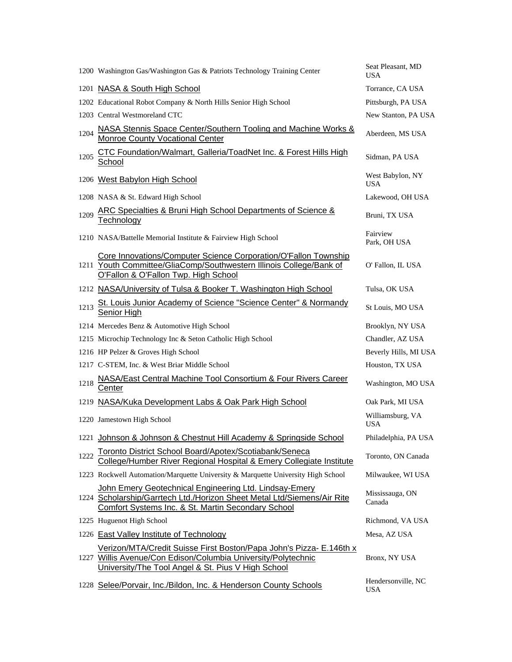|      | 1200 Washington Gas/Washington Gas & Patriots Technology Training Center                                                                                                                   | Seat Pleasant, MD<br><b>USA</b>  |
|------|--------------------------------------------------------------------------------------------------------------------------------------------------------------------------------------------|----------------------------------|
|      | 1201 NASA & South High School                                                                                                                                                              | Torrance, CA USA                 |
|      | 1202 Educational Robot Company & North Hills Senior High School                                                                                                                            | Pittsburgh, PA USA               |
|      | 1203 Central Westmoreland CTC                                                                                                                                                              | New Stanton, PA USA              |
| 1204 | NASA Stennis Space Center/Southern Tooling and Machine Works &<br><b>Monroe County Vocational Center</b>                                                                                   | Aberdeen, MS USA                 |
| 1205 | <b>CTC Foundation/Walmart, Galleria/ToadNet Inc. &amp; Forest Hills High</b><br><b>School</b>                                                                                              | Sidman, PA USA                   |
|      | 1206 West Babylon High School                                                                                                                                                              | West Babylon, NY<br><b>USA</b>   |
|      | 1208 NASA & St. Edward High School                                                                                                                                                         | Lakewood, OH USA                 |
| 1209 | <b>ARC Specialties &amp; Bruni High School Departments of Science &amp;</b><br>Technology                                                                                                  | Bruni, TX USA                    |
|      | 1210 NASA/Battelle Memorial Institute & Fairview High School                                                                                                                               | Fairview<br>Park, OH USA         |
|      | Core Innovations/Computer Science Corporation/O'Fallon Township<br>1211 Youth Committee/GliaComp/Southwestern Illinois College/Bank of<br>O'Fallon & O'Fallon Twp. High School             | O' Fallon, IL USA                |
|      | 1212 NASA/University of Tulsa & Booker T. Washington High School                                                                                                                           | Tulsa, OK USA                    |
| 1213 | St. Louis Junior Academy of Science "Science Center" & Normandy<br>Senior High                                                                                                             | St Louis, MO USA                 |
|      | 1214 Mercedes Benz & Automotive High School                                                                                                                                                | Brooklyn, NY USA                 |
|      | 1215 Microchip Technology Inc & Seton Catholic High School                                                                                                                                 | Chandler, AZ USA                 |
|      | 1216 HP Pelzer & Groves High School                                                                                                                                                        | Beverly Hills, MI USA            |
|      | 1217 C-STEM, Inc. & West Briar Middle School                                                                                                                                               | Houston, TX USA                  |
| 1218 | <b>NASA/East Central Machine Tool Consortium &amp; Four Rivers Career</b><br>Center                                                                                                        | Washington, MO USA               |
|      | 1219 NASA/Kuka Development Labs & Oak Park High School                                                                                                                                     | Oak Park, MI USA                 |
|      | 1220 Jamestown High School                                                                                                                                                                 | Williamsburg, VA<br><b>USA</b>   |
|      | 1221 Johnson & Johnson & Chestnut Hill Academy & Springside School                                                                                                                         | Philadelphia, PA USA             |
| 1222 | Toronto District School Board/Apotex/Scotiabank/Seneca<br>College/Humber River Regional Hospital & Emery Collegiate Institute                                                              | Toronto, ON Canada               |
|      | 1223 Rockwell Automation/Marquette University & Marquette University High School                                                                                                           | Milwaukee, WI USA                |
|      | John Emery Geotechnical Engineering Ltd. Lindsay-Emery<br>1224 Scholarship/Garrtech Ltd./Horizon Sheet Metal Ltd/Siemens/Air Rite<br>Comfort Systems Inc. & St. Martin Secondary School    | Mississauga, ON<br>Canada        |
|      | 1225 Huguenot High School                                                                                                                                                                  | Richmond, VA USA                 |
|      | 1226 East Valley Institute of Technology                                                                                                                                                   | Mesa, AZ USA                     |
|      | Verizon/MTA/Credit Suisse First Boston/Papa John's Pizza- E.146th x<br>1227 Willis Avenue/Con Edison/Columbia University/Polytechnic<br>University/The Tool Angel & St. Pius V High School | Bronx, NY USA                    |
|      | 1228 Selee/Porvair, Inc./Bildon, Inc. & Henderson County Schools                                                                                                                           | Hendersonville, NC<br><b>USA</b> |